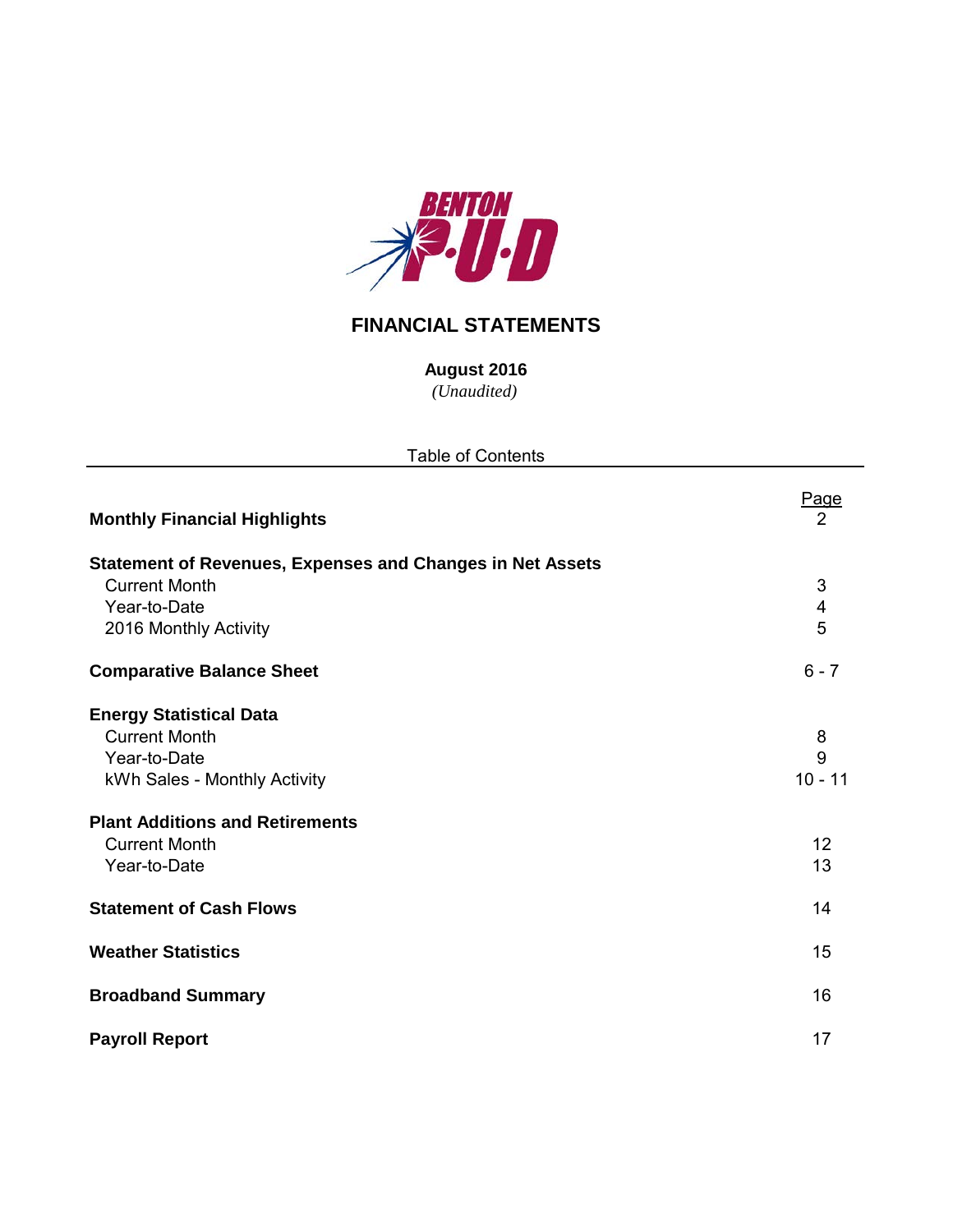

# **FINANCIAL STATEMENTS**

**August 2016**

*(Unaudited)*

| <b>Table of Contents</b>                                                                                                                                                                 |                                 |
|------------------------------------------------------------------------------------------------------------------------------------------------------------------------------------------|---------------------------------|
| <b>Monthly Financial Highlights</b>                                                                                                                                                      | <b>Page</b><br>2                |
| <b>Statement of Revenues, Expenses and Changes in Net Assets</b><br><b>Current Month</b><br>Year-to-Date<br>2016 Monthly Activity                                                        | $\sqrt{3}$<br>4<br>5            |
| <b>Comparative Balance Sheet</b>                                                                                                                                                         | $6 - 7$                         |
| <b>Energy Statistical Data</b><br><b>Current Month</b><br>Year-to-Date<br>kWh Sales - Monthly Activity<br><b>Plant Additions and Retirements</b><br><b>Current Month</b><br>Year-to-Date | 8<br>9<br>$10 - 11$<br>12<br>13 |
| <b>Statement of Cash Flows</b>                                                                                                                                                           | 14                              |
| <b>Weather Statistics</b>                                                                                                                                                                | 15                              |
| <b>Broadband Summary</b>                                                                                                                                                                 | 16                              |
| <b>Payroll Report</b>                                                                                                                                                                    | 17                              |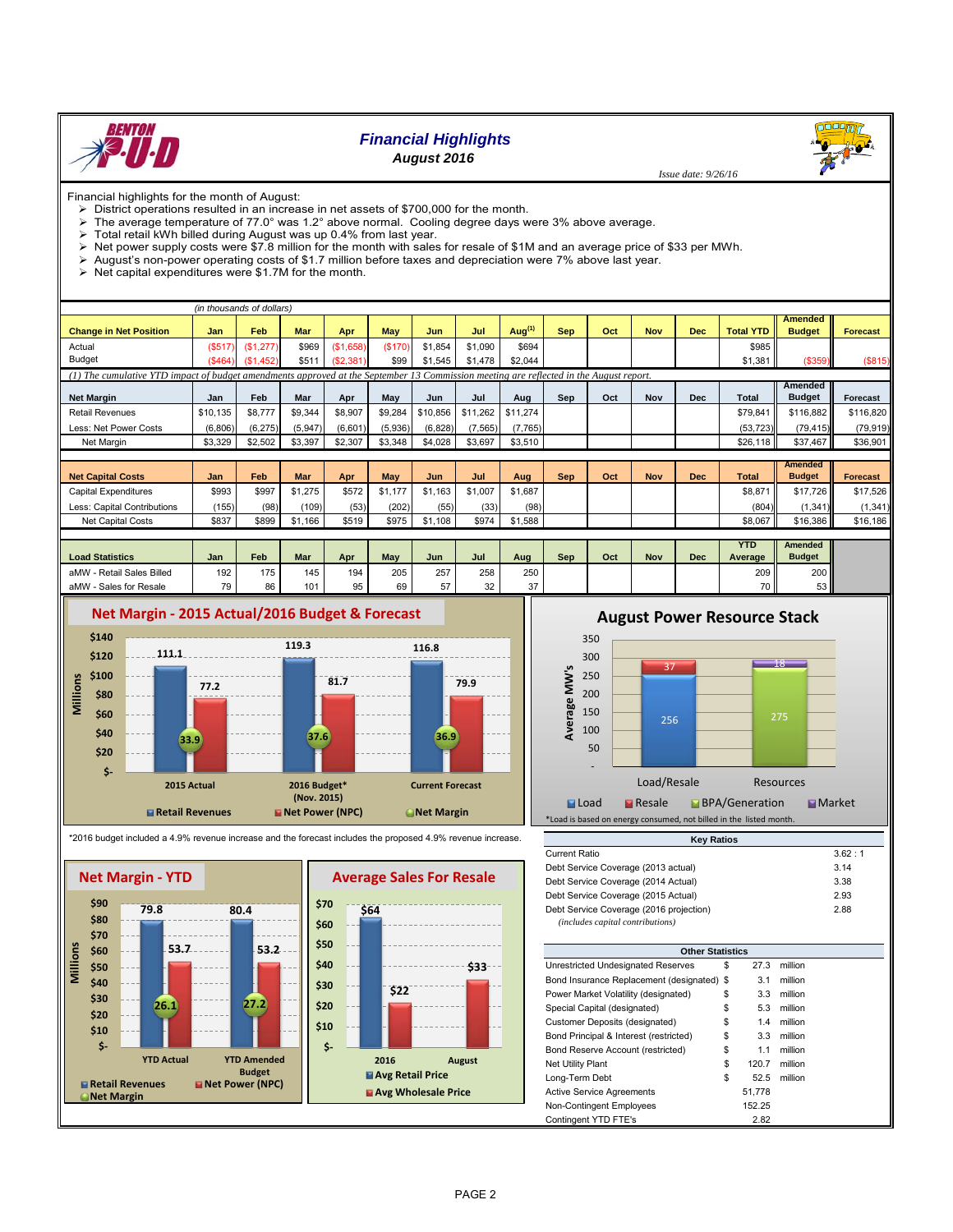

# *Financial Highlights*

*August 2016*

 *Issue date: 9/26/16*

Financial highlights for the month of August:

- District operations resulted in an increase in net assets of \$700,000 for the month.
- The average temperature of 77.0° was 1.2° above normal. Cooling degree days were 3% above average.
- $\triangleright$  Total retail kWh billed during August was up 0.4% from last year.<br>  $\triangleright$  Net nower supply costs were \$7.8 million for the month with sales
- Net power supply costs were \$7.8 million for the month with sales for resale of \$1M and an average price of \$33 per MWh.<br>> August's non-power operating costs of \$1.7 million before taxes and depreciation were 7% above las
- August's non-power operating costs of \$1.7 million before taxes and depreciation were 7% above last year.
- $\triangleright$  Net capital expenditures were \$1.7M for the month.

|                                                                                                                                        |          | (in thousands of dollars) |            |           |         |          |          |            |            |     |            |            |                  |                |                 |
|----------------------------------------------------------------------------------------------------------------------------------------|----------|---------------------------|------------|-----------|---------|----------|----------|------------|------------|-----|------------|------------|------------------|----------------|-----------------|
|                                                                                                                                        |          |                           |            |           |         |          |          |            |            |     |            |            |                  | <b>Amended</b> |                 |
| <b>Change in Net Position</b>                                                                                                          | Jan      | Feb                       | Mar        | Apr       | May     | Jun      | Jul      | Aug $(1)$  | <b>Sep</b> | Oct | <b>Nov</b> | <b>Dec</b> | <b>Total YTD</b> | <b>Budget</b>  | <b>Forecast</b> |
| Actual                                                                                                                                 | (\$517   | (\$1,277)                 | \$969      | (\$1,658) | (\$170) | \$1,854  | \$1,090  | \$694      |            |     |            |            | \$985            |                |                 |
| <b>Budget</b>                                                                                                                          | (\$464)  | (\$1,452)                 | \$511      | (S2, 381) | \$99    | \$1,545  | \$1,478  | \$2,044    |            |     |            |            | \$1,381          | (\$359)        | (S815)          |
| (1) The cumulative YTD impact of budget amendments approved at the September 13 Commission meeting are reflected in the August report. |          |                           |            |           |         |          |          |            |            |     |            |            |                  |                |                 |
|                                                                                                                                        |          |                           |            |           |         |          |          |            |            |     |            |            |                  | Amended        |                 |
| <b>Net Margin</b>                                                                                                                      | Jan      | Feb                       | Mar        | Apr       | May     | Jun      | Jul      | Aug        | Sep        | Oct | <b>Nov</b> | <b>Dec</b> | Total            | <b>Budget</b>  | <b>Forecast</b> |
| <b>Retail Revenues</b>                                                                                                                 | \$10.135 | \$8,777                   | \$9,344    | \$8,907   | \$9,284 | \$10,856 | \$11,262 | \$11,274   |            |     |            |            | \$79,841         | \$116,882      | \$116,820       |
| Less: Net Power Costs                                                                                                                  | (6,806)  | (6, 275)                  | (5,947)    | (6,601)   | (5,936) | (6, 828) | (7, 565) | (7,765)    |            |     |            |            | (53, 723)        | (79, 415)      | (79, 919)       |
| Net Margin                                                                                                                             | \$3,329  | \$2,502                   | \$3,397    | \$2,307   | \$3,348 | \$4,028  | \$3,697  | \$3,510    |            |     |            |            | \$26,118         | \$37.467       | \$36,901        |
|                                                                                                                                        |          |                           |            |           |         |          |          |            |            |     |            |            |                  |                |                 |
|                                                                                                                                        |          |                           |            |           |         |          |          |            |            |     |            |            |                  | <b>Amended</b> |                 |
| <b>Net Capital Costs</b>                                                                                                               | Jan      | Feb                       | <b>Mar</b> | Apr       | May     | Jun      | Jul      | Aug        | <b>Sep</b> | Oct | <b>Nov</b> | <b>Dec</b> | <b>Total</b>     | <b>Budget</b>  | <b>Forecast</b> |
| Capital Expenditures                                                                                                                   | \$993    | \$997                     | \$1,275    | \$572     | \$1,177 | \$1,163  | \$1,007  | \$1,687    |            |     |            |            | \$8,871          | \$17,726       | \$17,526        |
| Less: Capital Contributions                                                                                                            | (155)    | (98)                      | (109)      | (53)      | (202)   | (55)     | (33)     | (98)       |            |     |            |            | (804)            | (1, 341)       | (1, 341)        |
| Net Capital Costs                                                                                                                      | \$837    | \$899                     | \$1,166    | \$519     | \$975   | \$1,108  | \$974    | \$1,588    |            |     |            |            | \$8,067          | \$16,386       | \$16,186        |
|                                                                                                                                        |          |                           |            |           |         |          |          |            |            |     |            |            |                  |                |                 |
|                                                                                                                                        |          |                           |            |           |         |          |          |            |            |     |            |            | <b>YTD</b>       | <b>Amended</b> |                 |
| <b>Load Statistics</b>                                                                                                                 | .lan     | Feh                       | Mar        | Anr       | May     | .lun     | Jul.     | <b>Aug</b> | <b>Sen</b> | Oct | <b>Nov</b> | Dec        | <b>Average</b>   | <b>Budget</b>  |                 |

| <b>Load Statistics</b>         | Jan | Feb | Mar | Apr | May | Jun | Jul | Aug | Sep | Oct | Nov | Dec | ---<br>Average  | <b>Budget</b>    |
|--------------------------------|-----|-----|-----|-----|-----|-----|-----|-----|-----|-----|-----|-----|-----------------|------------------|
| / - Retail Sales Billed<br>aMW | 192 | 175 | 145 | 194 | 205 | 257 | 258 | 250 |     |     |     |     | 209             | 200 <sub>1</sub> |
| aMW<br>- Sales for Resale      | 70. | 86  | 101 | 95  | 69  | --  | 32  | 27  |     |     |     |     | 70 <sub>1</sub> | 53 <sub>1</sub>  |
|                                |     |     |     |     |     |     |     |     |     |     |     |     |                 |                  |



# **August Power Resource Stack**







| <b>Other Statistics</b>                    |    |        |         |  |  |  |  |  |  |  |  |
|--------------------------------------------|----|--------|---------|--|--|--|--|--|--|--|--|
| Unrestricted Undesignated Reserves         | \$ | 27.3   | million |  |  |  |  |  |  |  |  |
| Bond Insurance Replacement (designated) \$ |    | 3.1    | million |  |  |  |  |  |  |  |  |
| Power Market Volatility (designated)       | \$ | 3.3    | million |  |  |  |  |  |  |  |  |
| Special Capital (designated)               | \$ | 5.3    | million |  |  |  |  |  |  |  |  |
| <b>Customer Deposits (designated)</b>      | \$ | 1.4    | million |  |  |  |  |  |  |  |  |
| Bond Principal & Interest (restricted)     | \$ | 3.3    | million |  |  |  |  |  |  |  |  |
| Bond Reserve Account (restricted)          | \$ | 1.1    | million |  |  |  |  |  |  |  |  |
| Net Utility Plant                          | \$ | 120.7  | million |  |  |  |  |  |  |  |  |
| Long-Term Debt                             | \$ | 52.5   | million |  |  |  |  |  |  |  |  |
| <b>Active Service Agreements</b>           |    | 51.778 |         |  |  |  |  |  |  |  |  |
| Non-Contingent Employees                   |    | 152.25 |         |  |  |  |  |  |  |  |  |
| Contingent YTD FTE's                       |    | 2.82   |         |  |  |  |  |  |  |  |  |

\*2016 budget included a 4.9% revenue increase and the forecast includes the proposed 4.9% revenue increase.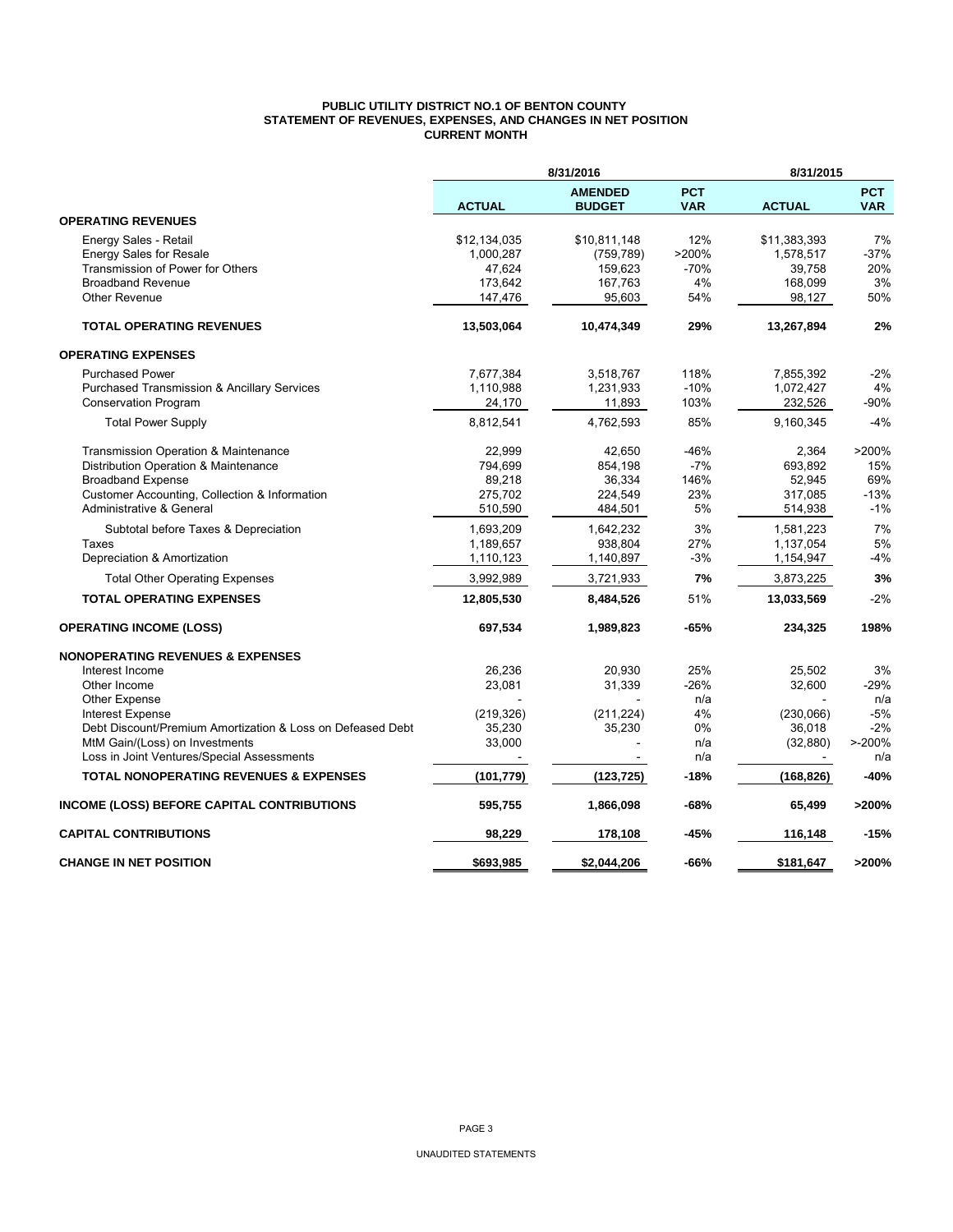### **PUBLIC UTILITY DISTRICT NO.1 OF BENTON COUNTY STATEMENT OF REVENUES, EXPENSES, AND CHANGES IN NET POSITION CURRENT MONTH**

|                                                            |               | 8/31/2016                       |                          | 8/31/2015     |                          |
|------------------------------------------------------------|---------------|---------------------------------|--------------------------|---------------|--------------------------|
|                                                            | <b>ACTUAL</b> | <b>AMENDED</b><br><b>BUDGET</b> | <b>PCT</b><br><b>VAR</b> | <b>ACTUAL</b> | <b>PCT</b><br><b>VAR</b> |
| <b>OPERATING REVENUES</b>                                  |               |                                 |                          |               |                          |
| Energy Sales - Retail                                      | \$12,134,035  | \$10,811,148                    | 12%                      | \$11,383,393  | 7%                       |
| <b>Energy Sales for Resale</b>                             | 1,000,287     | (759, 789)                      | >200%                    | 1,578,517     | $-37%$                   |
| Transmission of Power for Others                           | 47,624        | 159,623                         | $-70%$                   | 39,758        | 20%                      |
| <b>Broadband Revenue</b>                                   | 173,642       | 167,763                         | 4%                       | 168,099       | 3%                       |
| <b>Other Revenue</b>                                       | 147,476       | 95,603                          | 54%                      | 98,127        | 50%                      |
| <b>TOTAL OPERATING REVENUES</b>                            | 13,503,064    | 10,474,349                      | 29%                      | 13,267,894    | 2%                       |
| <b>OPERATING EXPENSES</b>                                  |               |                                 |                          |               |                          |
| <b>Purchased Power</b>                                     | 7,677,384     | 3,518,767                       | 118%                     | 7,855,392     | $-2%$                    |
| <b>Purchased Transmission &amp; Ancillary Services</b>     | 1,110,988     | 1,231,933                       | $-10%$                   | 1,072,427     | 4%                       |
| <b>Conservation Program</b>                                | 24,170        | 11,893                          | 103%                     | 232,526       | $-90%$                   |
| <b>Total Power Supply</b>                                  | 8,812,541     | 4,762,593                       | 85%                      | 9,160,345     | $-4%$                    |
| Transmission Operation & Maintenance                       | 22,999        | 42,650                          | -46%                     | 2,364         | >200%                    |
| Distribution Operation & Maintenance                       | 794,699       | 854,198                         | $-7%$                    | 693,892       | 15%                      |
| <b>Broadband Expense</b>                                   | 89,218        | 36,334                          | 146%                     | 52,945        | 69%                      |
| Customer Accounting, Collection & Information              | 275,702       | 224,549                         | 23%                      | 317,085       | $-13%$                   |
| Administrative & General                                   | 510,590       | 484,501                         | 5%                       | 514,938       | $-1%$                    |
| Subtotal before Taxes & Depreciation                       | 1,693,209     | 1,642,232                       | 3%                       | 1,581,223     | 7%                       |
| Taxes                                                      | 1,189,657     | 938,804                         | 27%                      | 1,137,054     | 5%                       |
| Depreciation & Amortization                                | 1,110,123     | 1,140,897                       | $-3%$                    | 1,154,947     | $-4%$                    |
| <b>Total Other Operating Expenses</b>                      | 3,992,989     | 3,721,933                       | 7%                       | 3,873,225     | 3%                       |
| <b>TOTAL OPERATING EXPENSES</b>                            | 12,805,530    | 8,484,526                       | 51%                      | 13,033,569    | $-2%$                    |
| <b>OPERATING INCOME (LOSS)</b>                             | 697,534       | 1,989,823                       | $-65%$                   | 234,325       | 198%                     |
| <b>NONOPERATING REVENUES &amp; EXPENSES</b>                |               |                                 |                          |               |                          |
| Interest Income                                            | 26,236        | 20.930                          | 25%                      | 25,502        | 3%                       |
| Other Income                                               | 23,081        | 31,339                          | $-26%$                   | 32,600        | $-29%$                   |
| Other Expense                                              |               |                                 | n/a                      |               | n/a                      |
| <b>Interest Expense</b>                                    | (219, 326)    | (211, 224)                      | 4%                       | (230,066)     | $-5%$                    |
| Debt Discount/Premium Amortization & Loss on Defeased Debt | 35,230        | 35,230                          | 0%                       | 36,018        | $-2%$                    |
| MtM Gain/(Loss) on Investments                             | 33,000        |                                 | n/a<br>n/a               | (32, 880)     | $> -200%$<br>n/a         |
| Loss in Joint Ventures/Special Assessments                 |               |                                 |                          |               |                          |
| TOTAL NONOPERATING REVENUES & EXPENSES                     | (101, 779)    | (123, 725)                      | $-18%$                   | (168, 826)    | $-40%$                   |
| INCOME (LOSS) BEFORE CAPITAL CONTRIBUTIONS                 | 595,755       | 1,866,098                       | -68%                     | 65,499        | >200%                    |
| <b>CAPITAL CONTRIBUTIONS</b>                               | 98,229        | 178,108                         | -45%                     | 116,148       | $-15%$                   |
| <b>CHANGE IN NET POSITION</b>                              | \$693.985     | \$2,044,206                     | -66%                     | \$181.647     | >200%                    |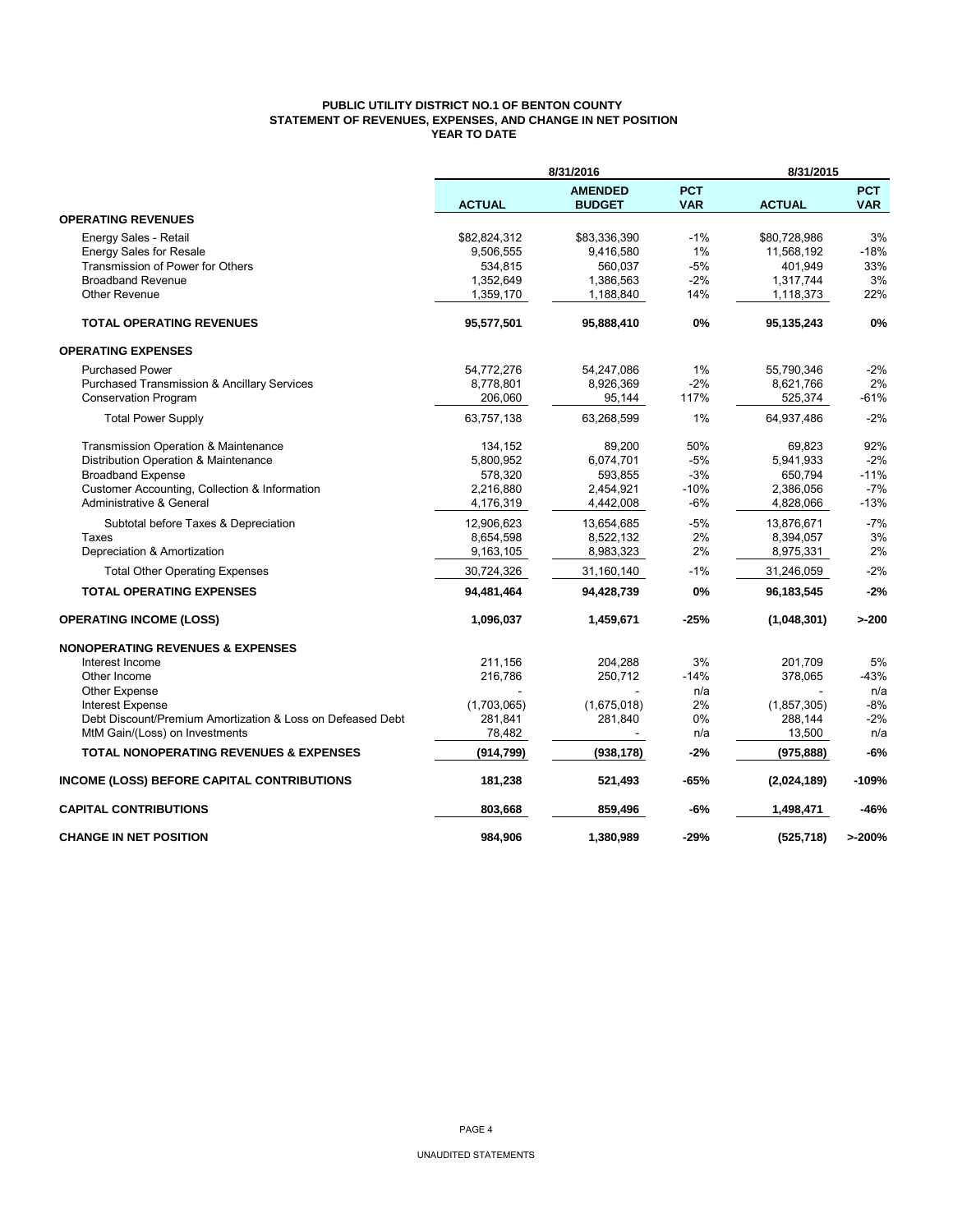## **PUBLIC UTILITY DISTRICT NO.1 OF BENTON COUNTY STATEMENT OF REVENUES, EXPENSES, AND CHANGE IN NET POSITION YEAR TO DATE**

|                                                            |               | 8/31/2016                       |                          | 8/31/2015     |                          |
|------------------------------------------------------------|---------------|---------------------------------|--------------------------|---------------|--------------------------|
|                                                            | <b>ACTUAL</b> | <b>AMENDED</b><br><b>BUDGET</b> | <b>PCT</b><br><b>VAR</b> | <b>ACTUAL</b> | <b>PCT</b><br><b>VAR</b> |
| <b>OPERATING REVENUES</b>                                  |               |                                 |                          |               |                          |
| Energy Sales - Retail                                      | \$82,824,312  | \$83,336,390                    | $-1%$                    | \$80,728,986  | 3%                       |
| <b>Energy Sales for Resale</b>                             | 9,506,555     | 9,416,580                       | 1%                       | 11,568,192    | $-18%$                   |
| Transmission of Power for Others                           | 534,815       | 560,037                         | $-5%$                    | 401,949       | 33%                      |
| <b>Broadband Revenue</b>                                   | 1,352,649     | 1,386,563                       | $-2%$                    | 1,317,744     | 3%                       |
| <b>Other Revenue</b>                                       | 1,359,170     | 1,188,840                       | 14%                      | 1,118,373     | 22%                      |
| <b>TOTAL OPERATING REVENUES</b>                            | 95,577,501    | 95,888,410                      | 0%                       | 95,135,243    | 0%                       |
| <b>OPERATING EXPENSES</b>                                  |               |                                 |                          |               |                          |
| <b>Purchased Power</b>                                     | 54,772,276    | 54,247,086                      | 1%                       | 55,790,346    | $-2%$                    |
| <b>Purchased Transmission &amp; Ancillary Services</b>     | 8,778,801     | 8,926,369                       | $-2%$                    | 8,621,766     | 2%                       |
| <b>Conservation Program</b>                                | 206,060       | 95,144                          | 117%                     | 525,374       | $-61%$                   |
| <b>Total Power Supply</b>                                  | 63,757,138    | 63,268,599                      | 1%                       | 64,937,486    | $-2%$                    |
| Transmission Operation & Maintenance                       | 134,152       | 89,200                          | 50%                      | 69,823        | 92%                      |
| Distribution Operation & Maintenance                       | 5,800,952     | 6,074,701                       | $-5%$                    | 5,941,933     | $-2%$                    |
| <b>Broadband Expense</b>                                   | 578,320       | 593,855                         | $-3%$                    | 650,794       | $-11%$                   |
| Customer Accounting, Collection & Information              | 2,216,880     | 2,454,921                       | $-10%$                   | 2,386,056     | $-7%$                    |
| Administrative & General                                   | 4,176,319     | 4,442,008                       | $-6%$                    | 4,828,066     | $-13%$                   |
| Subtotal before Taxes & Depreciation                       | 12,906,623    | 13,654,685                      | $-5%$                    | 13,876,671    | $-7%$                    |
| Taxes                                                      | 8,654,598     | 8,522,132                       | 2%                       | 8,394,057     | 3%                       |
| Depreciation & Amortization                                | 9,163,105     | 8,983,323                       | 2%                       | 8,975,331     | 2%                       |
| <b>Total Other Operating Expenses</b>                      | 30,724,326    | 31,160,140                      | $-1%$                    | 31,246,059    | $-2%$                    |
| <b>TOTAL OPERATING EXPENSES</b>                            | 94,481,464    | 94,428,739                      | 0%                       | 96,183,545    | $-2%$                    |
| <b>OPERATING INCOME (LOSS)</b>                             | 1,096,037     | 1,459,671                       | -25%                     | (1,048,301)   | $>-200$                  |
| <b>NONOPERATING REVENUES &amp; EXPENSES</b>                |               |                                 |                          |               |                          |
| Interest Income                                            | 211,156       | 204,288                         | 3%                       | 201,709       | 5%                       |
| Other Income                                               | 216,786       | 250,712                         | $-14%$                   | 378,065       | $-43%$                   |
| <b>Other Expense</b>                                       |               |                                 | n/a                      |               | n/a                      |
| Interest Expense                                           | (1,703,065)   | (1,675,018)                     | 2%                       | (1, 857, 305) | $-8%$                    |
| Debt Discount/Premium Amortization & Loss on Defeased Debt | 281,841       | 281,840                         | 0%                       | 288,144       | $-2%$                    |
| MtM Gain/(Loss) on Investments                             | 78,482        |                                 | n/a                      | 13,500        | n/a                      |
| <b>TOTAL NONOPERATING REVENUES &amp; EXPENSES</b>          | (914, 799)    | (938, 178)                      | $-2%$                    | (975, 888)    | -6%                      |
| <b>INCOME (LOSS) BEFORE CAPITAL CONTRIBUTIONS</b>          | 181,238       | 521,493                         | -65%                     | (2,024,189)   | $-109%$                  |
| <b>CAPITAL CONTRIBUTIONS</b>                               | 803,668       | 859,496                         | -6%                      | 1,498,471     | $-46%$                   |
| <b>CHANGE IN NET POSITION</b>                              | 984,906       | 1,380,989                       | -29%                     | (525, 718)    | >200%                    |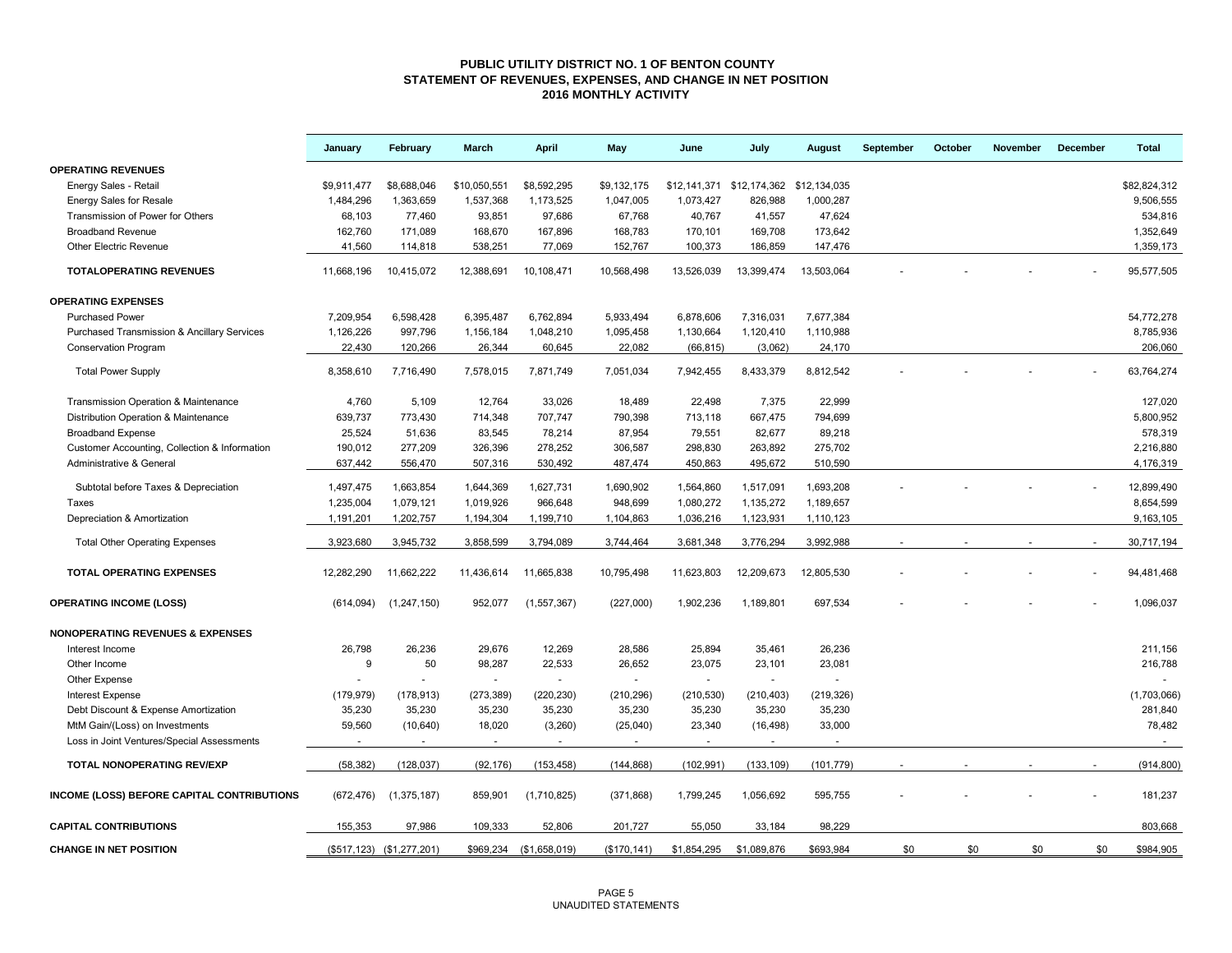### **PUBLIC UTILITY DISTRICT NO. 1 OF BENTON COUNTY STATEMENT OF REVENUES, EXPENSES, AND CHANGE IN NET POSITION 2016 MONTHLY ACTIVITY**

|                                                        | January     | February                  | March                    | <b>April</b>            | May          | June        | July                                   | August     | September | October | November | December | <b>Total</b> |
|--------------------------------------------------------|-------------|---------------------------|--------------------------|-------------------------|--------------|-------------|----------------------------------------|------------|-----------|---------|----------|----------|--------------|
| <b>OPERATING REVENUES</b>                              |             |                           |                          |                         |              |             |                                        |            |           |         |          |          |              |
| Energy Sales - Retail                                  | \$9,911,477 | \$8,688,046               | \$10,050,551             | \$8,592,295             | \$9,132,175  |             | \$12,141,371 \$12,174,362 \$12,134,035 |            |           |         |          |          | \$82,824,312 |
| Energy Sales for Resale                                | 1,484,296   | 1,363,659                 | 1,537,368                | 1,173,525               | 1,047,005    | 1,073,427   | 826,988                                | 1,000,287  |           |         |          |          | 9,506,555    |
| Transmission of Power for Others                       | 68,103      | 77,460                    | 93,851                   | 97,686                  | 67,768       | 40,767      | 41,557                                 | 47,624     |           |         |          |          | 534,816      |
| <b>Broadband Revenue</b>                               | 162,760     | 171,089                   | 168,670                  | 167,896                 | 168,783      | 170,101     | 169,708                                | 173,642    |           |         |          |          | 1,352,649    |
| <b>Other Electric Revenue</b>                          | 41,560      | 114,818                   | 538,251                  | 77,069                  | 152,767      | 100,373     | 186,859                                | 147,476    |           |         |          |          | 1,359,173    |
| <b>TOTALOPERATING REVENUES</b>                         | 11.668.196  | 10,415,072                | 12,388,691               | 10,108,471              | 10,568,498   | 13,526,039  | 13,399,474                             | 13,503,064 |           |         |          |          | 95.577.505   |
| <b>OPERATING EXPENSES</b>                              |             |                           |                          |                         |              |             |                                        |            |           |         |          |          |              |
| <b>Purchased Power</b>                                 | 7,209,954   | 6,598,428                 | 6,395,487                | 6,762,894               | 5,933,494    | 6,878,606   | 7,316,031                              | 7,677,384  |           |         |          |          | 54,772,278   |
| <b>Purchased Transmission &amp; Ancillary Services</b> | 1,126,226   | 997,796                   | 1,156,184                | 1,048,210               | 1,095,458    | 1,130,664   | 1,120,410                              | 1,110,988  |           |         |          |          | 8,785,936    |
| <b>Conservation Program</b>                            | 22,430      | 120,266                   | 26,344                   | 60,645                  | 22,082       | (66, 815)   | (3,062)                                | 24,170     |           |         |          |          | 206,060      |
| <b>Total Power Supply</b>                              | 8,358,610   | 7,716,490                 | 7,578,015                | 7,871,749               | 7,051,034    | 7,942,455   | 8,433,379                              | 8,812,542  |           |         |          |          | 63,764,274   |
| Transmission Operation & Maintenance                   | 4,760       | 5,109                     | 12,764                   | 33,026                  | 18,489       | 22,498      | 7,375                                  | 22,999     |           |         |          |          | 127,020      |
| Distribution Operation & Maintenance                   | 639,737     | 773,430                   | 714,348                  | 707,747                 | 790,398      | 713,118     | 667,475                                | 794,699    |           |         |          |          | 5,800,952    |
| <b>Broadband Expense</b>                               | 25,524      | 51,636                    | 83,545                   | 78,214                  | 87,954       | 79,551      | 82,677                                 | 89,218     |           |         |          |          | 578,319      |
| Customer Accounting, Collection & Information          | 190,012     | 277,209                   | 326,396                  | 278,252                 | 306,587      | 298,830     | 263,892                                | 275,702    |           |         |          |          | 2,216,880    |
| Administrative & General                               | 637,442     | 556,470                   | 507,316                  | 530,492                 | 487,474      | 450,863     | 495,672                                | 510,590    |           |         |          |          | 4,176,319    |
| Subtotal before Taxes & Depreciation                   | 1,497,475   | 1,663,854                 | 1,644,369                | 1,627,731               | 1,690,902    | 1,564,860   | 1,517,091                              | 1,693,208  |           |         |          |          | 12,899,490   |
| Taxes                                                  | 1,235,004   | 1,079,121                 | 1,019,926                | 966,648                 | 948,699      | 1,080,272   | 1,135,272                              | 1,189,657  |           |         |          |          | 8,654,599    |
| Depreciation & Amortization                            | 1,191,201   | 1,202,757                 | 1,194,304                | 1,199,710               | 1,104,863    | 1,036,216   | 1,123,931                              | 1,110,123  |           |         |          |          | 9,163,105    |
| <b>Total Other Operating Expenses</b>                  | 3,923,680   | 3,945,732                 | 3,858,599                | 3,794,089               | 3,744,464    | 3,681,348   | 3,776,294                              | 3,992,988  |           |         |          |          | 30,717,194   |
| <b>TOTAL OPERATING EXPENSES</b>                        | 12,282,290  | 11,662,222                | 11,436,614               | 11,665,838              | 10,795,498   | 11,623,803  | 12,209,673                             | 12,805,530 |           |         |          |          | 94,481,468   |
| <b>OPERATING INCOME (LOSS)</b>                         | (614, 094)  | (1, 247, 150)             | 952,077                  | (1,557,367)             | (227,000)    | 1,902,236   | 1,189,801                              | 697,534    |           |         |          |          | 1,096,037    |
| <b>NONOPERATING REVENUES &amp; EXPENSES</b>            |             |                           |                          |                         |              |             |                                        |            |           |         |          |          |              |
| Interest Income                                        | 26,798      | 26,236                    | 29,676                   | 12,269                  | 28,586       | 25,894      | 35,461                                 | 26,236     |           |         |          |          | 211,156      |
| Other Income                                           | 9           | 50                        | 98,287                   | 22,533                  | 26,652       | 23,075      | 23,101                                 | 23,081     |           |         |          |          | 216,788      |
| Other Expense                                          |             |                           | $\sim$                   |                         |              | $\sim$      |                                        |            |           |         |          |          |              |
| <b>Interest Expense</b>                                | (179, 979)  | (178, 913)                | (273, 389)               | (220, 230)              | (210, 296)   | (210, 530)  | (210, 403)                             | (219, 326) |           |         |          |          | (1,703,066)  |
| Debt Discount & Expense Amortization                   | 35,230      | 35,230                    | 35,230                   | 35,230                  | 35,230       | 35,230      | 35,230                                 | 35,230     |           |         |          |          | 281,840      |
| MtM Gain/(Loss) on Investments                         | 59,560      | (10, 640)                 | 18,020                   | (3,260)                 | (25,040)     | 23,340      | (16, 498)                              | 33,000     |           |         |          |          | 78,482       |
| Loss in Joint Ventures/Special Assessments             | $\sim$      | $\sim$                    | $\overline{\phantom{a}}$ | $\sim$                  | $\sim$       | $\sim$      | $\sim$                                 | $\sim$     |           |         |          |          | $\sim$       |
| <b>TOTAL NONOPERATING REV/EXP</b>                      | (58, 382)   | (128, 037)                | (92, 176)                | (153, 458)              | (144, 868)   | (102, 991)  | (133, 109)                             | (101, 779) |           |         |          |          | (914, 800)   |
| INCOME (LOSS) BEFORE CAPITAL CONTRIBUTIONS             | (672, 476)  | (1,375,187)               | 859,901                  | (1,710,825)             | (371, 868)   | 1,799,245   | 1,056,692                              | 595,755    |           |         |          |          | 181,237      |
| <b>CAPITAL CONTRIBUTIONS</b>                           | 155,353     | 97,986                    | 109,333                  | 52,806                  | 201,727      | 55,050      | 33,184                                 | 98,229     |           |         |          |          | 803,668      |
| <b>CHANGE IN NET POSITION</b>                          |             | (\$517,123) (\$1,277,201) |                          | \$969,234 (\$1,658,019) | (\$170, 141) | \$1,854,295 | \$1,089,876                            | \$693,984  | \$0       | \$0     | \$0      | \$0      | \$984,905    |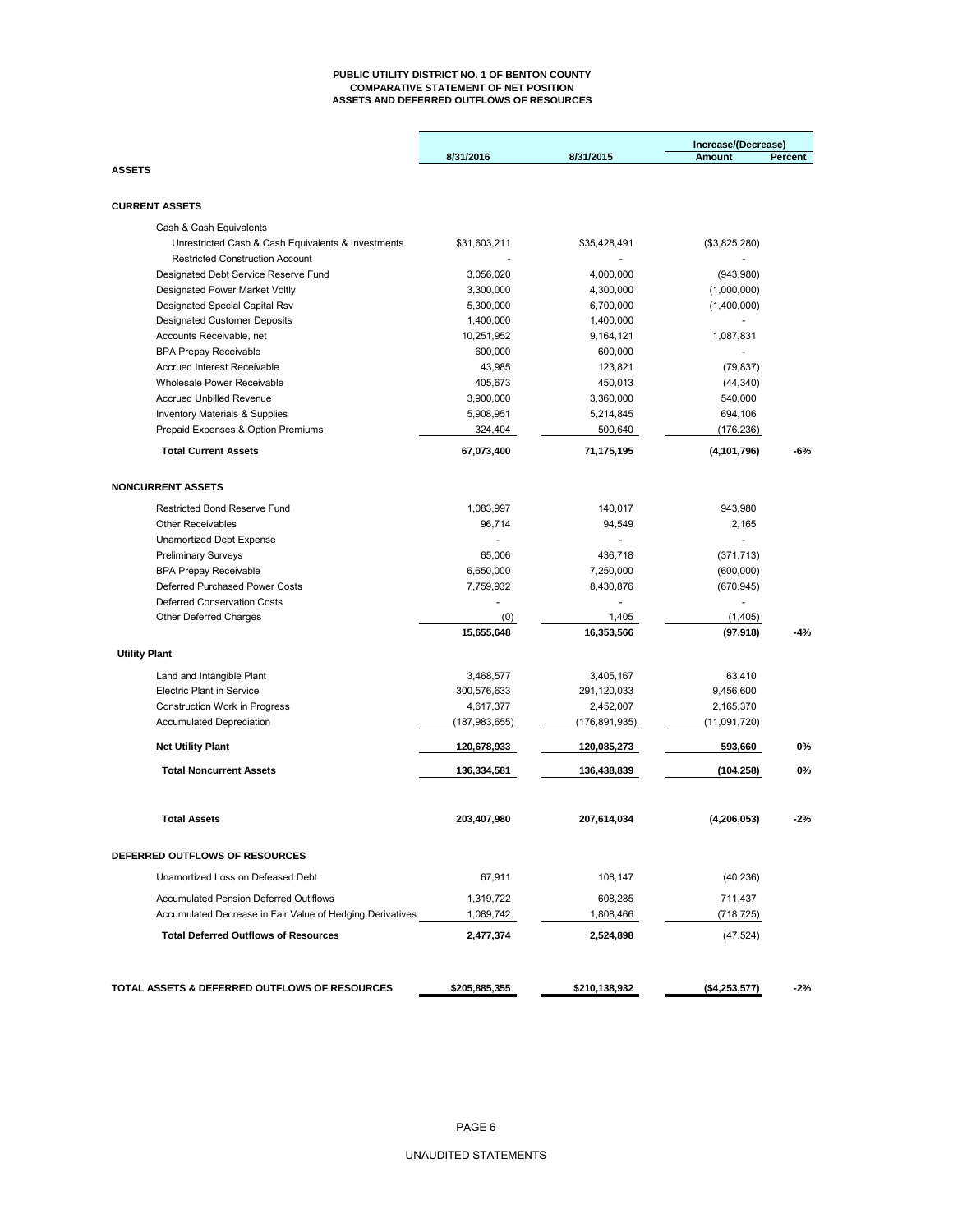#### **PUBLIC UTILITY DISTRICT NO. 1 OF BENTON COUNTY COMPARATIVE STATEMENT OF NET POSITION ASSETS AND DEFERRED OUTFLOWS OF RESOURCES**

|                                                           |               |               | Increase/(Decrease) |         |
|-----------------------------------------------------------|---------------|---------------|---------------------|---------|
| <b>ASSETS</b>                                             | 8/31/2016     | 8/31/2015     | Amount              | Percent |
|                                                           |               |               |                     |         |
| <b>CURRENT ASSETS</b>                                     |               |               |                     |         |
| Cash & Cash Equivalents                                   |               |               |                     |         |
| Unrestricted Cash & Cash Equivalents & Investments        | \$31,603,211  | \$35,428,491  | (\$3,825,280)       |         |
| <b>Restricted Construction Account</b>                    |               |               |                     |         |
| Designated Debt Service Reserve Fund                      | 3,056,020     | 4,000,000     | (943,980)           |         |
| Designated Power Market Voltly                            | 3,300,000     | 4,300,000     | (1,000,000)         |         |
| Designated Special Capital Rsv                            | 5,300,000     | 6,700,000     | (1,400,000)         |         |
| <b>Designated Customer Deposits</b>                       | 1,400,000     | 1,400,000     |                     |         |
| Accounts Receivable, net                                  | 10,251,952    | 9,164,121     | 1,087,831           |         |
| <b>BPA Prepay Receivable</b>                              | 600,000       | 600,000       |                     |         |
| <b>Accrued Interest Receivable</b>                        | 43,985        | 123,821       | (79, 837)           |         |
| Wholesale Power Receivable                                | 405,673       | 450,013       | (44, 340)           |         |
| <b>Accrued Unbilled Revenue</b>                           | 3,900,000     | 3,360,000     | 540,000             |         |
| <b>Inventory Materials &amp; Supplies</b>                 | 5,908,951     | 5,214,845     | 694,106             |         |
| Prepaid Expenses & Option Premiums                        | 324,404       | 500,640       | (176, 236)          |         |
| <b>Total Current Assets</b>                               | 67,073,400    | 71,175,195    | (4, 101, 796)       | $-6%$   |
| <b>NONCURRENT ASSETS</b>                                  |               |               |                     |         |
| <b>Restricted Bond Reserve Fund</b>                       | 1,083,997     | 140,017       | 943,980             |         |
| <b>Other Receivables</b>                                  | 96,714        | 94,549        | 2,165               |         |
| <b>Unamortized Debt Expense</b>                           |               |               |                     |         |
| <b>Preliminary Surveys</b>                                | 65,006        | 436,718       | (371, 713)          |         |
| <b>BPA Prepay Receivable</b>                              | 6,650,000     | 7,250,000     | (600,000)           |         |
| Deferred Purchased Power Costs                            | 7,759,932     | 8,430,876     | (670, 945)          |         |
| Deferred Conservation Costs                               |               |               |                     |         |
| <b>Other Deferred Charges</b>                             | (0)           | 1,405         | (1,405)             |         |
|                                                           | 15,655,648    | 16,353,566    | (97, 918)           | $-4%$   |
| <b>Utility Plant</b>                                      |               |               |                     |         |
| Land and Intangible Plant                                 | 3,468,577     | 3,405,167     | 63,410              |         |
| <b>Electric Plant in Service</b>                          | 300,576,633   | 291,120,033   | 9,456,600           |         |
| <b>Construction Work in Progress</b>                      | 4,617,377     | 2,452,007     | 2,165,370           |         |
| <b>Accumulated Depreciation</b>                           | (187,983,655) | (176,891,935) | (11,091,720)        |         |
| <b>Net Utility Plant</b>                                  | 120,678,933   | 120,085,273   | 593,660             | 0%      |
| <b>Total Noncurrent Assets</b>                            | 136,334,581   | 136,438,839   | (104, 258)          | 0%      |
|                                                           |               |               |                     |         |
| <b>Total Assets</b>                                       | 203,407,980   | 207,614,034   | (4,206,053)         | $-2%$   |
| DEFERRED OUTFLOWS OF RESOURCES                            |               |               |                     |         |
| Unamortized Loss on Defeased Debt                         | 67,911        | 108,147       | (40, 236)           |         |
| <b>Accumulated Pension Deferred Outlflows</b>             | 1,319,722     | 608,285       | 711,437             |         |
| Accumulated Decrease in Fair Value of Hedging Derivatives | 1,089,742     | 1,808,466     | (718, 725)          |         |
| <b>Total Deferred Outflows of Resources</b>               | 2,477,374     | 2,524,898     | (47, 524)           |         |
|                                                           |               |               |                     |         |
| TOTAL ASSETS & DEFERRED OUTFLOWS OF RESOURCES             | \$205,885,355 | \$210,138,932 | ( \$4,253,577)      | $-2%$   |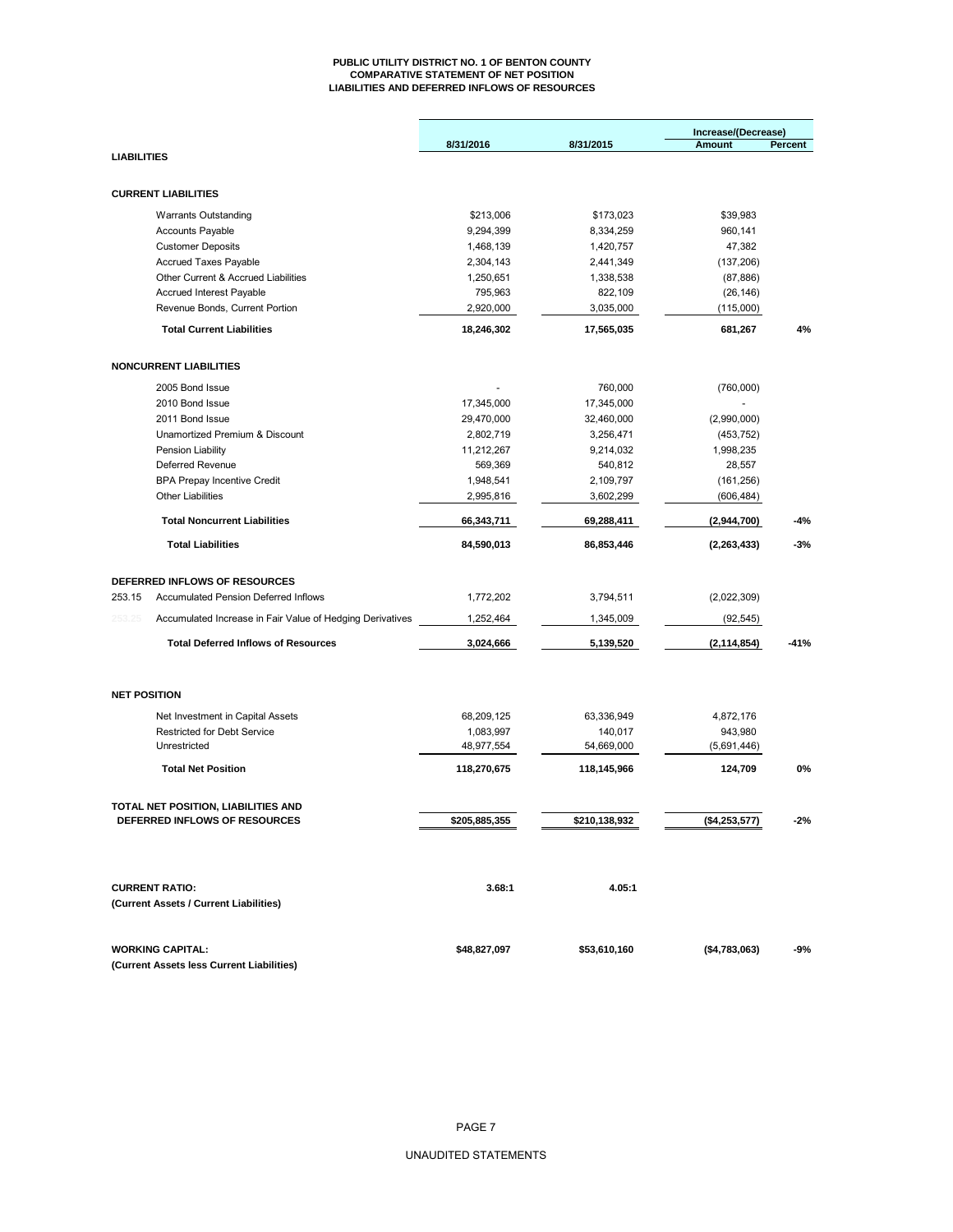#### **PUBLIC UTILITY DISTRICT NO. 1 OF BENTON COUNTY COMPARATIVE STATEMENT OF NET POSITION LIABILITIES AND DEFERRED INFLOWS OF RESOURCES**

|                    |                                                                       |               |               | Increase/(Decrease) |         |
|--------------------|-----------------------------------------------------------------------|---------------|---------------|---------------------|---------|
|                    |                                                                       | 8/31/2016     | 8/31/2015     | <b>Amount</b>       | Percent |
| <b>LIABILITIES</b> |                                                                       |               |               |                     |         |
|                    | <b>CURRENT LIABILITIES</b>                                            |               |               |                     |         |
|                    | <b>Warrants Outstanding</b>                                           | \$213,006     | \$173,023     | \$39,983            |         |
|                    | <b>Accounts Payable</b>                                               | 9,294,399     | 8,334,259     | 960,141             |         |
|                    | <b>Customer Deposits</b>                                              | 1,468,139     | 1,420,757     | 47,382              |         |
|                    | Accrued Taxes Payable                                                 | 2,304,143     | 2,441,349     | (137, 206)          |         |
|                    | Other Current & Accrued Liabilities                                   | 1,250,651     | 1,338,538     | (87, 886)           |         |
|                    | <b>Accrued Interest Payable</b>                                       | 795,963       | 822,109       | (26, 146)           |         |
|                    | Revenue Bonds, Current Portion                                        | 2,920,000     | 3,035,000     | (115,000)           |         |
|                    | <b>Total Current Liabilities</b>                                      | 18,246,302    | 17,565,035    | 681,267             | 4%      |
|                    | <b>NONCURRENT LIABILITIES</b>                                         |               |               |                     |         |
|                    |                                                                       |               |               |                     |         |
|                    | 2005 Bond Issue                                                       |               | 760,000       | (760,000)           |         |
|                    | 2010 Bond Issue                                                       | 17,345,000    | 17,345,000    |                     |         |
|                    | 2011 Bond Issue                                                       | 29,470,000    | 32,460,000    | (2,990,000)         |         |
|                    | Unamortized Premium & Discount                                        | 2,802,719     | 3,256,471     | (453, 752)          |         |
|                    | Pension Liability                                                     | 11,212,267    | 9,214,032     | 1,998,235           |         |
|                    | Deferred Revenue                                                      | 569,369       | 540,812       | 28,557              |         |
|                    | <b>BPA Prepay Incentive Credit</b>                                    | 1,948,541     | 2,109,797     | (161, 256)          |         |
|                    | <b>Other Liabilities</b>                                              | 2,995,816     | 3,602,299     | (606, 484)          |         |
|                    | <b>Total Noncurrent Liabilities</b>                                   | 66,343,711    | 69,288,411    | (2,944,700)         | $-4%$   |
|                    | <b>Total Liabilities</b>                                              | 84,590,013    | 86,853,446    | (2, 263, 433)       | $-3%$   |
|                    |                                                                       |               |               |                     |         |
| 253.15             | DEFERRED INFLOWS OF RESOURCES<br>Accumulated Pension Deferred Inflows | 1,772,202     | 3,794,511     |                     |         |
|                    |                                                                       |               |               | (2,022,309)         |         |
| 253.25             | Accumulated Increase in Fair Value of Hedging Derivatives             | 1,252,464     | 1,345,009     | (92, 545)           |         |
|                    | <b>Total Deferred Inflows of Resources</b>                            | 3,024,666     | 5,139,520     | (2, 114, 854)       | $-41%$  |
|                    | <b>NET POSITION</b>                                                   |               |               |                     |         |
|                    | Net Investment in Capital Assets                                      | 68,209,125    | 63,336,949    | 4,872,176           |         |
|                    | <b>Restricted for Debt Service</b>                                    | 1,083,997     | 140,017       | 943,980             |         |
|                    | Unrestricted                                                          | 48,977,554    | 54,669,000    | (5,691,446)         |         |
|                    | <b>Total Net Position</b>                                             | 118,270,675   | 118,145,966   | 124,709             | 0%      |
|                    | TOTAL NET POSITION, LIABILITIES AND                                   |               |               |                     |         |
|                    | DEFERRED INFLOWS OF RESOURCES                                         | \$205,885,355 | \$210,138,932 | (\$4,253,577)       | -2%     |
|                    |                                                                       |               |               |                     |         |
|                    | <b>CURRENT RATIO:</b>                                                 | 3.68:1        | 4.05:1        |                     |         |
|                    | (Current Assets / Current Liabilities)                                |               |               |                     |         |
|                    | <b>WORKING CAPITAL:</b>                                               | \$48,827,097  | \$53,610,160  | ( \$4,783,063)      | -9%     |
|                    | (Current Assets less Current Liabilities)                             |               |               |                     |         |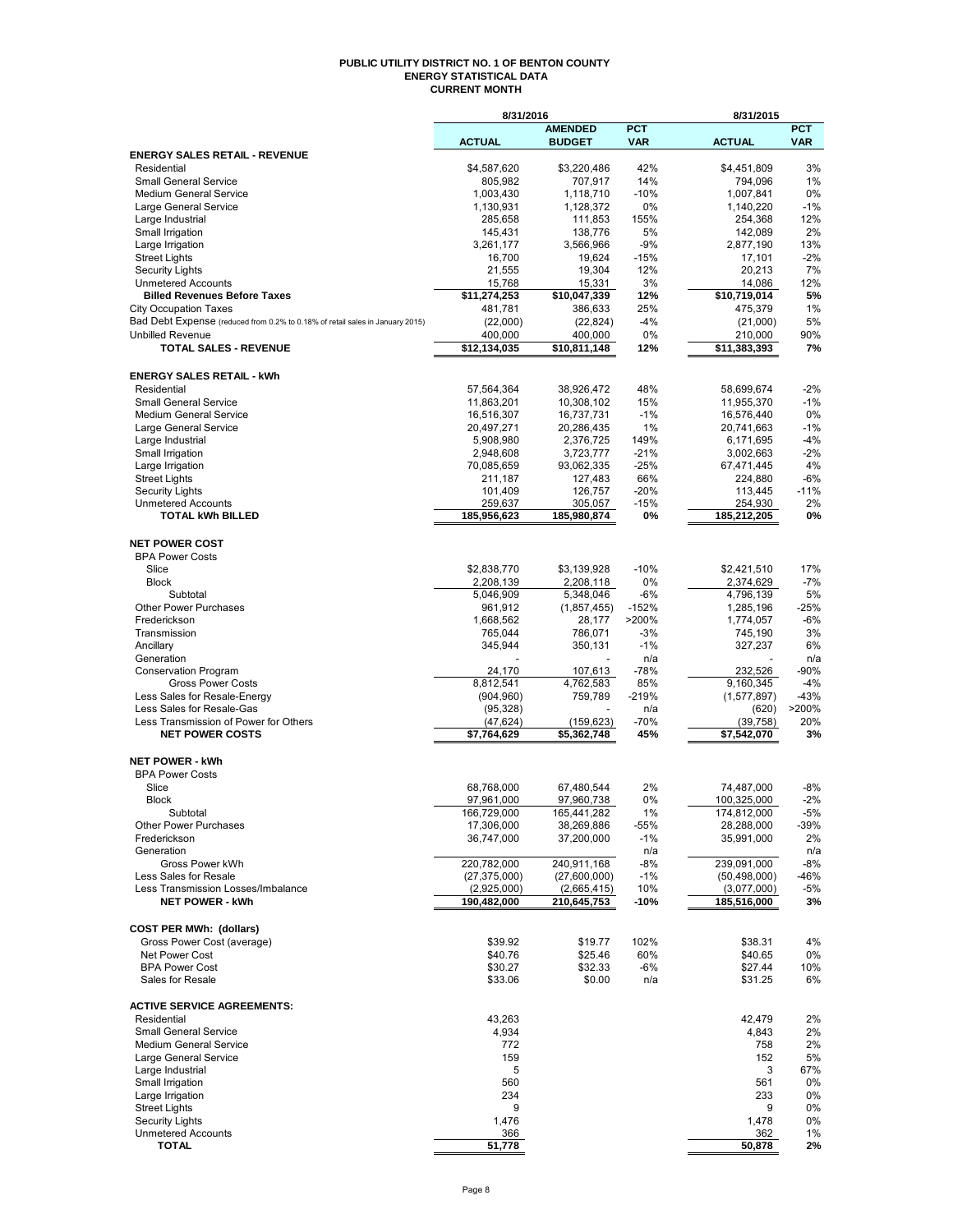### **PUBLIC UTILITY DISTRICT NO. 1 OF BENTON COUNTY ENERGY STATISTICAL DATA CURRENT MONTH**

|                                                                               | 8/31/2016                 |                           |                | 8/31/2015                 |               |
|-------------------------------------------------------------------------------|---------------------------|---------------------------|----------------|---------------------------|---------------|
|                                                                               |                           | <b>AMENDED</b>            | <b>PCT</b>     |                           | <b>PCT</b>    |
|                                                                               | <b>ACTUAL</b>             | <b>BUDGET</b>             | <b>VAR</b>     | <b>ACTUAL</b>             | <b>VAR</b>    |
| <b>ENERGY SALES RETAIL - REVENUE</b>                                          |                           |                           |                |                           |               |
| Residential                                                                   | \$4,587,620               | \$3,220,486               | 42%            | \$4,451,809               | 3%            |
| <b>Small General Service</b>                                                  | 805,982                   | 707,917                   | 14%            | 794,096                   | $1\%$         |
| <b>Medium General Service</b>                                                 | 1,003,430                 | 1,118,710                 | $-10%$         | 1,007,841                 | 0%            |
| Large General Service                                                         | 1,130,931                 | 1,128,372                 | 0%             | 1,140,220                 | $-1%$         |
| Large Industrial                                                              | 285,658                   | 111,853                   | 155%           | 254,368                   | 12%           |
| Small Irrigation<br>Large Irrigation                                          | 145,431<br>3,261,177      | 138,776<br>3,566,966      | 5%<br>$-9%$    | 142,089<br>2,877,190      | 2%<br>13%     |
| <b>Street Lights</b>                                                          | 16,700                    | 19,624                    | $-15%$         | 17,101                    | $-2%$         |
| <b>Security Lights</b>                                                        | 21,555                    | 19,304                    | 12%            | 20,213                    | 7%            |
| <b>Unmetered Accounts</b>                                                     | 15,768                    | 15,331                    | 3%             | 14,086                    | 12%           |
| <b>Billed Revenues Before Taxes</b>                                           | \$11,274,253              | \$10,047,339              | 12%            | \$10,719,014              | 5%            |
| <b>City Occupation Taxes</b>                                                  | 481,781                   | 386,633                   | 25%            | 475,379                   | 1%            |
| Bad Debt Expense (reduced from 0.2% to 0.18% of retail sales in January 2015) | (22,000)                  | (22, 824)                 | -4%            | (21,000)                  | 5%            |
| <b>Unbilled Revenue</b>                                                       | 400,000                   | 400,000                   | 0%             | 210,000                   | 90%           |
| <b>TOTAL SALES - REVENUE</b>                                                  | \$12,134,035              | \$10,811,148              | 12%            | \$11,383,393              | 7%            |
|                                                                               |                           |                           |                |                           |               |
| <b>ENERGY SALES RETAIL - kWh</b>                                              |                           |                           |                |                           |               |
| Residential                                                                   | 57,564,364                | 38,926,472                | 48%            | 58,699,674                | $-2\%$        |
| <b>Small General Service</b>                                                  | 11,863,201                | 10,308,102                | 15%            | 11,955,370                | $-1%$         |
| <b>Medium General Service</b>                                                 | 16,516,307                | 16,737,731                | $-1%$          | 16,576,440                | 0%            |
| Large General Service                                                         | 20,497,271                | 20,286,435                | 1%             | 20,741,663                | $-1%$         |
| Large Industrial                                                              | 5,908,980                 | 2,376,725                 | 149%           | 6,171,695                 | $-4%$         |
| Small Irrigation                                                              | 2,948,608                 | 3,723,777                 | $-21%$         | 3,002,663                 | $-2%$         |
| Large Irrigation                                                              | 70,085,659                | 93,062,335                | $-25%$         | 67,471,445                | 4%            |
| <b>Street Lights</b>                                                          | 211,187                   | 127,483                   | 66%            | 224,880                   | -6%           |
|                                                                               |                           | 126,757                   | $-20%$         | 113,445                   | $-11%$        |
| <b>Security Lights</b><br><b>Unmetered Accounts</b>                           | 101,409<br>259.637        | 305,057                   | $-15%$         | 254,930                   | 2%            |
| <b>TOTAL kWh BILLED</b>                                                       | 185,956,623               | 185,980,874               | 0%             | 185,212,205               | 0%            |
|                                                                               |                           |                           |                |                           |               |
| <b>NET POWER COST</b>                                                         |                           |                           |                |                           |               |
| <b>BPA Power Costs</b>                                                        |                           |                           |                |                           |               |
| Slice                                                                         | \$2,838,770               |                           | $-10%$         |                           |               |
|                                                                               |                           | \$3,139,928               |                | \$2,421,510               | 17%           |
| <b>Block</b>                                                                  | 2,208,139                 | 2,208,118                 | 0%             | 2,374,629                 | $-7%$         |
| Subtotal<br><b>Other Power Purchases</b>                                      | 5,046,909                 | 5,348,046                 | -6%<br>$-152%$ | 4,796,139                 | 5%<br>$-25%$  |
| Frederickson                                                                  | 961,912                   | (1,857,455)               | >200%          | 1,285,196                 | -6%           |
|                                                                               | 1,668,562                 | 28,177                    |                | 1,774,057                 |               |
| Transmission                                                                  | 765,044                   | 786,071                   | $-3%$          | 745,190                   | 3%            |
| Ancillary                                                                     | 345,944                   | 350,131                   | $-1%$          | 327,237                   | 6%            |
| Generation                                                                    |                           |                           | n/a            |                           | n/a           |
| Conservation Program                                                          | 24,170                    | 107,613                   | $-78%$         | 232,526                   | $-90%$        |
| <b>Gross Power Costs</b>                                                      | 8,812,541                 | 4,762,583                 | 85%            | 9,160,345                 | $-4%$         |
| Less Sales for Resale-Energy                                                  | (904, 960)                | 759,789                   | $-219%$        | (1,577,897)               | $-43%$        |
| Less Sales for Resale-Gas                                                     | (95, 328)                 |                           | n/a            | (620)                     | >200%         |
| Less Transmission of Power for Others                                         | (47, 624)                 | (159, 623)                | $-70%$         | (39, 758)                 | 20%           |
| <b>NET POWER COSTS</b>                                                        | \$7,764,629               | \$5,362,748               | 45%            | \$7,542,070               | 3%            |
| <b>NET POWER - kWh</b>                                                        |                           |                           |                |                           |               |
|                                                                               |                           |                           |                |                           |               |
| <b>BPA Power Costs</b>                                                        |                           |                           |                |                           |               |
| Slice                                                                         | 68,768,000                | 67,480,544                | 2%             | 74,487,000                | -8%           |
| <b>Block</b><br>Subtotal                                                      | 97,961,000                | 97,960,738                | 0%             | 100,325,000               | $-2%$         |
| <b>Other Power Purchases</b>                                                  | 166,729,000<br>17,306,000 | 165,441,282<br>38,269,886 | $1\%$          | 174,812,000<br>28,288,000 | $-5%$<br>-39% |
| Frederickson                                                                  | 36,747,000                | 37,200,000                | -55%<br>$-1%$  | 35,991,000                | 2%            |
| Generation                                                                    |                           |                           | n/a            |                           | n/a           |
| Gross Power kWh                                                               | 220,782,000               | 240,911,168               | $-8%$          | 239,091,000               | -8%           |
| Less Sales for Resale                                                         | (27, 375, 000)            | (27,600,000)              | $-1%$          | (50, 498, 000)            | -46%          |
| Less Transmission Losses/Imbalance                                            | (2,925,000)               | (2,665,415)               | 10%            | (3,077,000)               | -5%           |
| <b>NET POWER - kWh</b>                                                        | 190,482,000               | 210,645,753               | -10%           | 185,516,000               | 3%            |
|                                                                               |                           |                           |                |                           |               |
| <b>COST PER MWh: (dollars)</b>                                                |                           |                           |                |                           |               |
|                                                                               |                           |                           |                |                           |               |
| Gross Power Cost (average)                                                    | \$39.92                   | \$19.77                   | 102%           | \$38.31                   | 4%            |
| <b>Net Power Cost</b>                                                         | \$40.76                   | \$25.46                   | 60%            | \$40.65                   | 0%            |
| <b>BPA Power Cost</b>                                                         | \$30.27                   | \$32.33                   | -6%            | \$27.44                   | 10%           |
| Sales for Resale                                                              | \$33.06                   | \$0.00                    | n/a            | \$31.25                   | 6%            |
| <b>ACTIVE SERVICE AGREEMENTS:</b>                                             |                           |                           |                |                           |               |
|                                                                               |                           |                           |                |                           |               |
| Residential<br><b>Small General Service</b>                                   | 43,263<br>4,934           |                           |                | 42,479                    | 2%            |
|                                                                               |                           |                           |                | 4,843<br>758              | 2%            |
| <b>Medium General Service</b>                                                 | 772                       |                           |                |                           | 2%            |
| Large General Service                                                         | 159                       |                           |                | 152                       | 5%            |
| Large Industrial                                                              | 5                         |                           |                | 3                         | 67%           |
| Small Irrigation                                                              | 560                       |                           |                | 561                       | 0%            |
| Large Irrigation                                                              | 234                       |                           |                | 233                       | 0%            |
| <b>Street Lights</b>                                                          | 9                         |                           |                | 9                         | 0%            |
| <b>Security Lights</b>                                                        | 1,476                     |                           |                | 1,478                     | 0%            |
| <b>Unmetered Accounts</b>                                                     | 366                       |                           |                | 362                       | 1%            |
| <b>TOTAL</b>                                                                  | 51,778                    |                           |                | 50,878                    | 2%            |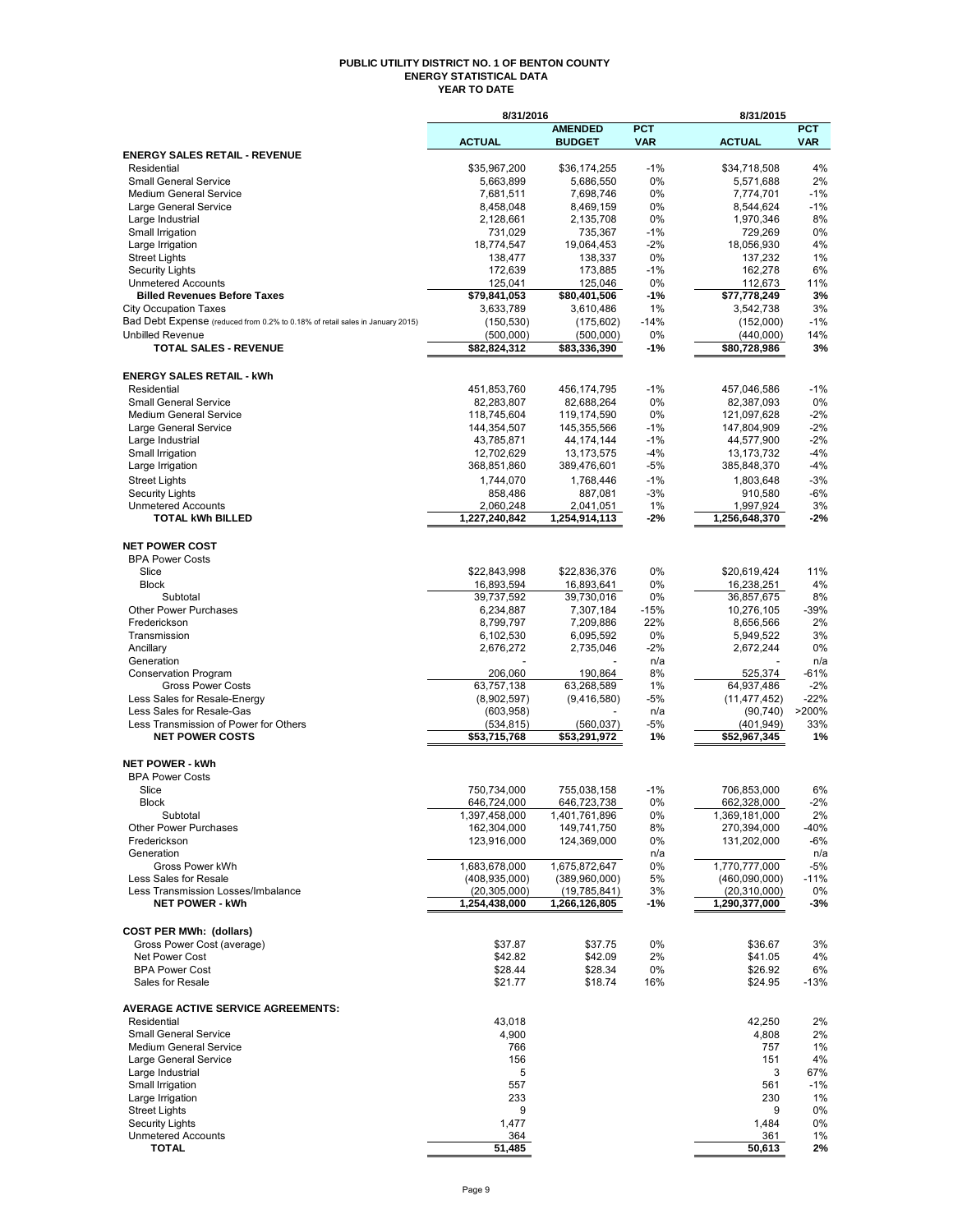## **PUBLIC UTILITY DISTRICT NO. 1 OF BENTON COUNTY ENERGY STATISTICAL DATA YEAR TO DATE**

|                                                                               | 8/31/2016                         |                                 |                          | 8/31/2015                       |                          |
|-------------------------------------------------------------------------------|-----------------------------------|---------------------------------|--------------------------|---------------------------------|--------------------------|
|                                                                               | <b>ACTUAL</b>                     | <b>AMENDED</b><br><b>BUDGET</b> | <b>PCT</b><br><b>VAR</b> | <b>ACTUAL</b>                   | <b>PCT</b><br><b>VAR</b> |
| <b>ENERGY SALES RETAIL - REVENUE</b>                                          |                                   |                                 |                          |                                 |                          |
| Residential                                                                   | \$35,967,200                      | \$36,174,255                    | $-1%$                    | \$34,718,508                    | 4%                       |
| <b>Small General Service</b><br><b>Medium General Service</b>                 | 5,663,899<br>7,681,511            | 5,686,550<br>7,698,746          | 0%<br>0%                 | 5,571,688<br>7,774,701          | 2%<br>$-1%$              |
| Large General Service                                                         | 8,458,048                         | 8,469,159                       | 0%                       | 8,544,624                       | $-1%$                    |
| Large Industrial                                                              | 2,128,661                         | 2,135,708                       | 0%                       | 1,970,346                       | 8%                       |
| Small Irrigation                                                              | 731,029                           | 735,367                         | $-1%$                    | 729,269                         | 0%                       |
| Large Irrigation                                                              | 18,774,547                        | 19,064,453                      | $-2%$                    | 18,056,930                      | 4%                       |
| <b>Street Lights</b><br><b>Security Lights</b>                                | 138,477<br>172,639                | 138,337<br>173,885              | 0%<br>$-1%$              | 137,232<br>162,278              | 1%<br>6%                 |
| <b>Unmetered Accounts</b>                                                     | 125,041                           | 125,046                         | 0%                       | 112,673                         | 11%                      |
| <b>Billed Revenues Before Taxes</b>                                           | \$79,841,053                      | \$80,401,506                    | $-1%$                    | \$77,778,249                    | 3%                       |
| <b>City Occupation Taxes</b>                                                  | 3,633,789                         | 3,610,486                       | 1%                       | 3,542,738                       | 3%                       |
| Bad Debt Expense (reduced from 0.2% to 0.18% of retail sales in January 2015) | (150, 530)                        | (175, 602)                      | $-14%$                   | (152,000)                       | $-1%$                    |
| <b>Unbilled Revenue</b>                                                       | (500,000)                         | (500,000)                       | 0%                       | (440,000)                       | 14%                      |
| <b>TOTAL SALES - REVENUE</b>                                                  | \$82,824,312                      | \$83,336,390                    | $-1%$                    | \$80,728,986                    | 3%                       |
| <b>ENERGY SALES RETAIL - kWh</b>                                              |                                   |                                 |                          |                                 |                          |
| Residential                                                                   | 451,853,760                       | 456,174,795                     | $-1%$                    | 457,046,586                     | $-1%$                    |
| <b>Small General Service</b>                                                  | 82,283,807                        | 82,688,264                      | 0%                       | 82,387,093                      | 0%                       |
| <b>Medium General Service</b>                                                 | 118,745,604                       | 119,174,590                     | 0%                       | 121,097,628                     | $-2%$                    |
| Large General Service                                                         | 144.354.507                       | 145,355,566                     | $-1%$                    | 147,804,909                     | $-2%$                    |
| Large Industrial<br>Small Irrigation                                          | 43,785,871<br>12,702,629          | 44, 174, 144<br>13, 173, 575    | $-1%$<br>$-4%$           | 44,577,900<br>13,173,732        | $-2%$<br>$-4%$           |
| Large Irrigation                                                              | 368,851,860                       | 389,476,601                     | -5%                      | 385,848,370                     | $-4%$                    |
| <b>Street Lights</b>                                                          | 1,744,070                         | 1,768,446                       | $-1%$                    | 1,803,648                       | $-3%$                    |
| <b>Security Lights</b>                                                        | 858,486                           | 887,081                         | $-3%$                    | 910.580                         | -6%                      |
| <b>Unmetered Accounts</b>                                                     | 2,060,248                         | 2,041,051                       | 1%                       | 1,997,924                       | 3%                       |
| <b>TOTAL kWh BILLED</b>                                                       | 1.227.240.842                     | 1,254,914,113                   | -2%                      | 1,256,648,370                   | $-2%$                    |
| <b>NET POWER COST</b>                                                         |                                   |                                 |                          |                                 |                          |
| <b>BPA Power Costs</b>                                                        |                                   |                                 |                          |                                 |                          |
| Slice                                                                         | \$22,843,998                      | \$22,836,376                    | 0%                       | \$20,619,424                    | 11%                      |
| <b>Block</b>                                                                  | 16,893,594                        | 16,893,641                      | 0%                       | 16,238,251                      | 4%                       |
| Subtotal                                                                      | 39,737,592                        | 39,730,016                      | 0%                       | 36,857,675                      | 8%                       |
| <b>Other Power Purchases</b>                                                  | 6,234,887                         | 7,307,184                       | $-15%$                   | 10,276,105                      | $-39%$                   |
| Frederickson                                                                  | 8,799,797                         | 7,209,886                       | 22%                      | 8,656,566                       | 2%                       |
| Transmission<br>Ancillary                                                     | 6,102,530<br>2,676,272            | 6,095,592<br>2,735,046          | 0%<br>$-2%$              | 5,949,522<br>2,672,244          | 3%<br>0%                 |
| Generation                                                                    |                                   |                                 | n/a                      |                                 | n/a                      |
| <b>Conservation Program</b>                                                   | 206,060                           | 190,864                         | 8%                       | 525,374                         | $-61%$                   |
| <b>Gross Power Costs</b>                                                      | 63,757,138                        | 63,268,589                      | 1%                       | 64,937,486                      | $-2%$                    |
| Less Sales for Resale-Energy                                                  | (8,902,597)                       | (9,416,580)                     | -5%                      | (11, 477, 452)                  | $-22%$                   |
| Less Sales for Resale-Gas<br>Less Transmission of Power for Others            | (603, 958)<br>(534, 815)          | (560, 037)                      | n/a<br>$-5%$             | (90, 740)<br>(401, 949)         | >200%<br>33%             |
| <b>NET POWER COSTS</b>                                                        | \$53,715,768                      | \$53,291,972                    | 1%                       | \$52,967,345                    | 1%                       |
|                                                                               |                                   |                                 |                          |                                 |                          |
| <b>NET POWER - kWh</b>                                                        |                                   |                                 |                          |                                 |                          |
| <b>BPA Power Costs</b>                                                        |                                   |                                 |                          |                                 |                          |
| Slice<br><b>Block</b>                                                         | 750,734,000<br>646,724,000        | 755,038,158<br>646,723,738      | $-1%$<br>0%              | 706,853,000<br>662,328,000      | 6%<br>$-2%$              |
| Subtotal                                                                      | 1,397,458,000                     | 1,401,761,896                   | 0%                       | 1,369,181,000                   | 2%                       |
| <b>Other Power Purchases</b>                                                  | 162,304,000                       | 149,741,750                     | 8%                       | 270,394,000                     | -40%                     |
| Frederickson                                                                  | 123,916,000                       | 124,369,000                     | 0%                       | 131,202,000                     | $-6%$                    |
| Generation                                                                    |                                   |                                 | n/a                      |                                 | n/a                      |
| Gross Power kWh                                                               | 1,683,678,000                     | 1.675.872.647                   | 0%                       | 1,770,777,000                   | $-5%$                    |
| Less Sales for Resale<br>Less Transmission Losses/Imbalance                   | (408, 935, 000)<br>(20, 305, 000) | (389,960,000)<br>(19,785,841)   | 5%<br>3%                 | (460,090,000)<br>(20, 310, 000) | $-11%$<br>0%             |
| <b>NET POWER - kWh</b>                                                        | 1,254,438,000                     | 1,266,126,805                   | -1%                      | 1,290,377,000                   | $-3%$                    |
|                                                                               |                                   |                                 |                          |                                 |                          |
| <b>COST PER MWh: (dollars)</b>                                                |                                   |                                 |                          |                                 |                          |
| Gross Power Cost (average)                                                    | \$37.87                           | \$37.75                         | 0%                       | \$36.67                         | 3%                       |
| <b>Net Power Cost</b><br><b>BPA Power Cost</b>                                | \$42.82                           | \$42.09                         | 2%                       | \$41.05                         | 4%                       |
| Sales for Resale                                                              | \$28.44<br>\$21.77                | \$28.34<br>\$18.74              | 0%<br>16%                | \$26.92<br>\$24.95              | 6%<br>$-13%$             |
|                                                                               |                                   |                                 |                          |                                 |                          |
| <b>AVERAGE ACTIVE SERVICE AGREEMENTS:</b>                                     |                                   |                                 |                          |                                 |                          |
| Residential<br><b>Small General Service</b>                                   | 43,018<br>4,900                   |                                 |                          | 42,250<br>4,808                 | 2%<br>2%                 |
| <b>Medium General Service</b>                                                 | 766                               |                                 |                          | 757                             | 1%                       |
| Large General Service                                                         | 156                               |                                 |                          | 151                             | 4%                       |
| Large Industrial                                                              | 5                                 |                                 |                          | 3                               | 67%                      |
| Small Irrigation                                                              | 557                               |                                 |                          | 561                             | $-1%$                    |
| Large Irrigation                                                              | 233                               |                                 |                          | 230                             | 1%                       |
| <b>Street Lights</b>                                                          | 9                                 |                                 |                          | 9                               | 0%                       |
| <b>Security Lights</b><br><b>Unmetered Accounts</b>                           | 1,477<br>364                      |                                 |                          | 1,484<br>361                    | 0%<br>1%                 |
| <b>TOTAL</b>                                                                  | 51,485                            |                                 |                          | 50,613                          | 2%                       |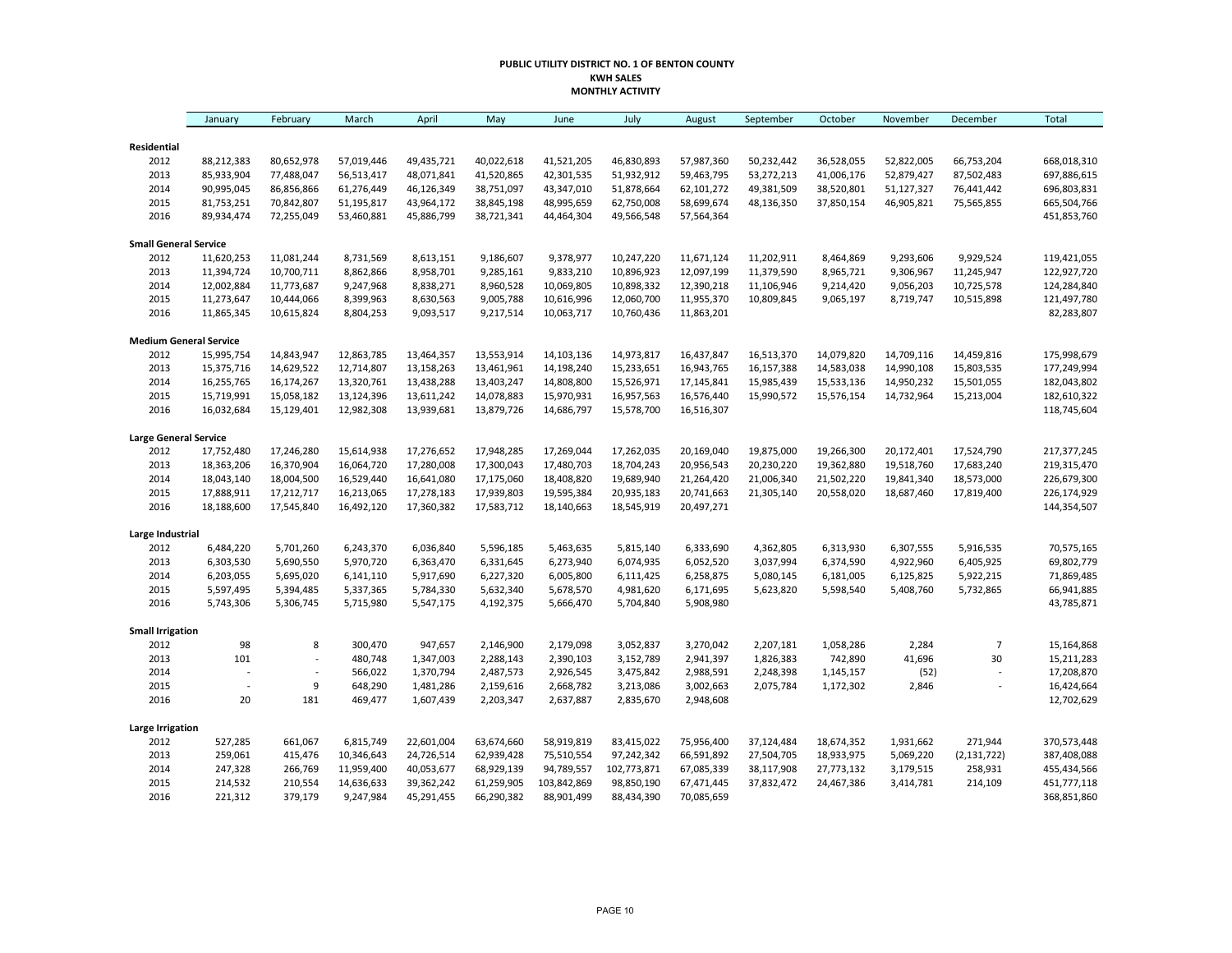#### **PUBLIC UTILITY DISTRICT NO. 1 OF BENTON COUNTY KWH SALES MONTHLY ACTIVITY**

|                               | January        | February       | March      | April      | May        | June        | July        | August     | September  | October    | November   | December       | <b>Total</b> |
|-------------------------------|----------------|----------------|------------|------------|------------|-------------|-------------|------------|------------|------------|------------|----------------|--------------|
| Residential                   |                |                |            |            |            |             |             |            |            |            |            |                |              |
| 2012                          | 88,212,383     | 80,652,978     | 57,019,446 | 49,435,721 | 40,022,618 | 41,521,205  | 46,830,893  | 57,987,360 | 50,232,442 | 36,528,055 | 52,822,005 | 66,753,204     | 668,018,310  |
| 2013                          | 85,933,904     | 77,488,047     | 56,513,417 | 48,071,841 | 41,520,865 | 42,301,535  | 51,932,912  | 59,463,795 | 53,272,213 | 41,006,176 | 52,879,427 | 87,502,483     | 697,886,615  |
| 2014                          | 90,995,045     | 86,856,866     | 61,276,449 | 46,126,349 | 38,751,097 | 43,347,010  | 51,878,664  | 62,101,272 | 49,381,509 | 38,520,801 | 51,127,327 | 76,441,442     | 696,803,831  |
| 2015                          | 81,753,251     | 70,842,807     | 51,195,817 | 43,964,172 | 38,845,198 | 48,995,659  | 62,750,008  | 58,699,674 | 48,136,350 | 37,850,154 | 46,905,821 | 75,565,855     | 665,504,766  |
| 2016                          | 89,934,474     | 72,255,049     | 53,460,881 | 45,886,799 | 38,721,341 | 44,464,304  | 49,566,548  | 57,564,364 |            |            |            |                | 451,853,760  |
| <b>Small General Service</b>  |                |                |            |            |            |             |             |            |            |            |            |                |              |
| 2012                          | 11,620,253     | 11,081,244     | 8,731,569  | 8,613,151  | 9,186,607  | 9,378,977   | 10,247,220  | 11,671,124 | 11,202,911 | 8,464,869  | 9,293,606  | 9,929,524      | 119,421,055  |
| 2013                          | 11,394,724     | 10,700,711     | 8,862,866  | 8,958,701  | 9,285,161  | 9,833,210   | 10,896,923  | 12,097,199 | 11,379,590 | 8,965,721  | 9,306,967  | 11,245,947     | 122,927,720  |
| 2014                          | 12,002,884     | 11,773,687     | 9,247,968  | 8,838,271  | 8,960,528  | 10,069,805  | 10,898,332  | 12,390,218 | 11,106,946 | 9,214,420  | 9,056,203  | 10,725,578     | 124,284,840  |
| 2015                          | 11,273,647     | 10,444,066     | 8,399,963  | 8,630,563  | 9,005,788  | 10,616,996  | 12,060,700  | 11,955,370 | 10,809,845 | 9,065,197  | 8,719,747  | 10,515,898     | 121,497,780  |
| 2016                          | 11,865,345     | 10,615,824     | 8,804,253  | 9,093,517  | 9,217,514  | 10,063,717  | 10,760,436  | 11,863,201 |            |            |            |                | 82,283,807   |
| <b>Medium General Service</b> |                |                |            |            |            |             |             |            |            |            |            |                |              |
| 2012                          | 15,995,754     | 14,843,947     | 12,863,785 | 13,464,357 | 13,553,914 | 14,103,136  | 14,973,817  | 16,437,847 | 16,513,370 | 14,079,820 | 14,709,116 | 14,459,816     | 175,998,679  |
| 2013                          | 15,375,716     | 14,629,522     | 12,714,807 | 13,158,263 | 13,461,961 | 14,198,240  | 15,233,651  | 16,943,765 | 16,157,388 | 14,583,038 | 14,990,108 | 15,803,535     | 177,249,994  |
| 2014                          | 16,255,765     | 16,174,267     | 13,320,761 | 13,438,288 | 13,403,247 | 14,808,800  | 15,526,971  | 17,145,841 | 15,985,439 | 15,533,136 | 14,950,232 | 15,501,055     | 182,043,802  |
| 2015                          | 15,719,991     | 15,058,182     | 13,124,396 | 13,611,242 | 14,078,883 | 15,970,931  | 16,957,563  | 16,576,440 | 15,990,572 | 15,576,154 | 14,732,964 | 15,213,004     | 182,610,322  |
| 2016                          | 16,032,684     | 15,129,401     | 12,982,308 | 13,939,681 | 13,879,726 | 14,686,797  | 15,578,700  | 16,516,307 |            |            |            |                | 118,745,604  |
| <b>Large General Service</b>  |                |                |            |            |            |             |             |            |            |            |            |                |              |
| 2012                          | 17,752,480     | 17,246,280     | 15,614,938 | 17,276,652 | 17,948,285 | 17,269,044  | 17,262,035  | 20,169,040 | 19,875,000 | 19,266,300 | 20,172,401 | 17,524,790     | 217,377,245  |
| 2013                          | 18,363,206     | 16,370,904     | 16,064,720 | 17,280,008 | 17,300,043 | 17,480,703  | 18,704,243  | 20,956,543 | 20,230,220 | 19,362,880 | 19,518,760 | 17,683,240     | 219,315,470  |
| 2014                          | 18,043,140     | 18,004,500     | 16,529,440 | 16,641,080 | 17,175,060 | 18,408,820  | 19,689,940  | 21,264,420 | 21,006,340 | 21,502,220 | 19,841,340 | 18,573,000     | 226,679,300  |
| 2015                          | 17,888,911     | 17,212,717     | 16,213,065 | 17,278,183 | 17,939,803 | 19,595,384  | 20,935,183  | 20,741,663 | 21,305,140 | 20,558,020 | 18,687,460 | 17,819,400     | 226,174,929  |
| 2016                          | 18,188,600     | 17,545,840     | 16,492,120 | 17,360,382 | 17,583,712 | 18,140,663  | 18,545,919  | 20,497,271 |            |            |            |                | 144,354,507  |
| Large Industrial              |                |                |            |            |            |             |             |            |            |            |            |                |              |
| 2012                          | 6,484,220      | 5,701,260      | 6,243,370  | 6,036,840  | 5,596,185  | 5,463,635   | 5,815,140   | 6,333,690  | 4,362,805  | 6,313,930  | 6,307,555  | 5,916,535      | 70,575,165   |
| 2013                          | 6,303,530      | 5,690,550      | 5,970,720  | 6,363,470  | 6,331,645  | 6,273,940   | 6,074,935   | 6,052,520  | 3,037,994  | 6,374,590  | 4,922,960  | 6,405,925      | 69,802,779   |
| 2014                          | 6,203,055      | 5,695,020      | 6,141,110  | 5,917,690  | 6,227,320  | 6,005,800   | 6,111,425   | 6,258,875  | 5,080,145  | 6,181,005  | 6,125,825  | 5,922,215      | 71,869,485   |
| 2015                          | 5,597,495      | 5,394,485      | 5,337,365  | 5,784,330  | 5,632,340  | 5,678,570   | 4,981,620   | 6,171,695  | 5,623,820  | 5,598,540  | 5,408,760  | 5,732,865      | 66,941,885   |
| 2016                          | 5,743,306      | 5,306,745      | 5,715,980  | 5,547,175  | 4,192,375  | 5,666,470   | 5,704,840   | 5,908,980  |            |            |            |                | 43,785,871   |
| <b>Small Irrigation</b>       |                |                |            |            |            |             |             |            |            |            |            |                |              |
| 2012                          | 98             | 8              | 300,470    | 947,657    | 2,146,900  | 2,179,098   | 3,052,837   | 3,270,042  | 2,207,181  | 1,058,286  | 2,284      | $\overline{7}$ | 15,164,868   |
| 2013                          | 101            | $\overline{a}$ | 480,748    | 1,347,003  | 2,288,143  | 2,390,103   | 3,152,789   | 2,941,397  | 1,826,383  | 742,890    | 41,696     | 30             | 15,211,283   |
| 2014                          | $\overline{a}$ | $\overline{a}$ | 566,022    | 1,370,794  | 2,487,573  | 2,926,545   | 3,475,842   | 2,988,591  | 2,248,398  | 1,145,157  | (52)       | L,             | 17,208,870   |
| 2015                          |                | 9              | 648,290    | 1,481,286  | 2,159,616  | 2,668,782   | 3,213,086   | 3,002,663  | 2,075,784  | 1,172,302  | 2,846      | $\overline{a}$ | 16,424,664   |
| 2016                          | 20             | 181            | 469,477    | 1,607,439  | 2,203,347  | 2,637,887   | 2,835,670   | 2,948,608  |            |            |            |                | 12,702,629   |
| <b>Large Irrigation</b>       |                |                |            |            |            |             |             |            |            |            |            |                |              |
| 2012                          | 527,285        | 661,067        | 6,815,749  | 22,601,004 | 63,674,660 | 58,919,819  | 83,415,022  | 75,956,400 | 37,124,484 | 18,674,352 | 1,931,662  | 271,944        | 370,573,448  |
| 2013                          | 259,061        | 415,476        | 10,346,643 | 24,726,514 | 62,939,428 | 75,510,554  | 97,242,342  | 66,591,892 | 27,504,705 | 18,933,975 | 5,069,220  | (2, 131, 722)  | 387,408,088  |
| 2014                          | 247,328        | 266,769        | 11,959,400 | 40,053,677 | 68,929,139 | 94,789,557  | 102,773,871 | 67,085,339 | 38,117,908 | 27,773,132 | 3,179,515  | 258,931        | 455,434,566  |
| 2015                          | 214,532        | 210,554        | 14,636,633 | 39,362,242 | 61,259,905 | 103,842,869 | 98,850,190  | 67,471,445 | 37,832,472 | 24,467,386 | 3,414,781  | 214,109        | 451,777,118  |
| 2016                          | 221,312        | 379,179        | 9,247,984  | 45,291,455 | 66,290,382 | 88,901,499  | 88,434,390  | 70,085,659 |            |            |            |                | 368,851,860  |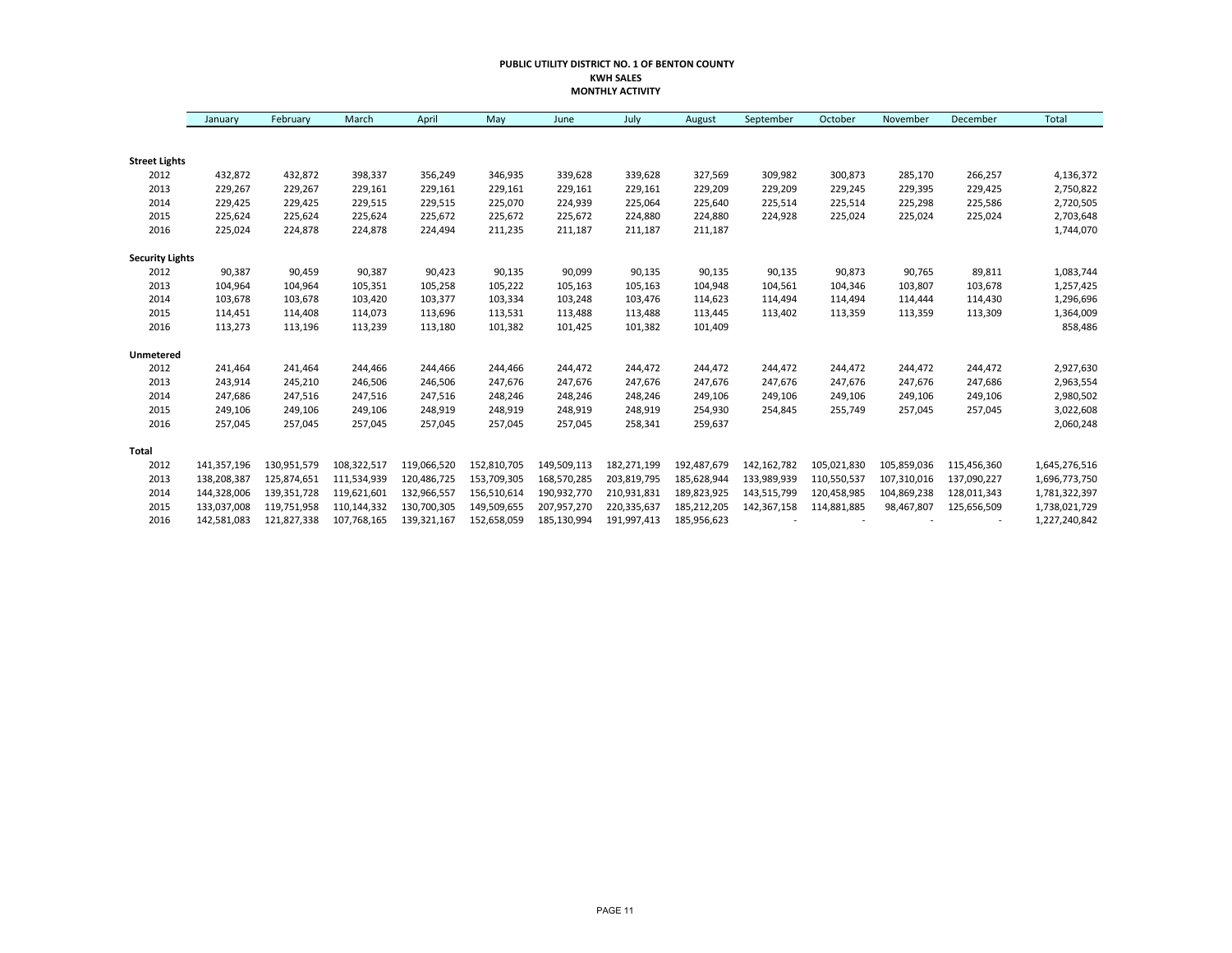#### **PUBLIC UTILITY DISTRICT NO. 1 OF BENTON COUNTY KWH SALES MONTHLY ACTIVITY**

|                        | January     | February    | March       | April       | May         | June        | July        | August      | September   | October     | November    | December    | Total         |
|------------------------|-------------|-------------|-------------|-------------|-------------|-------------|-------------|-------------|-------------|-------------|-------------|-------------|---------------|
|                        |             |             |             |             |             |             |             |             |             |             |             |             |               |
| <b>Street Lights</b>   |             |             |             |             |             |             |             |             |             |             |             |             |               |
| 2012                   | 432,872     | 432,872     | 398,337     | 356,249     | 346,935     | 339,628     | 339,628     | 327,569     | 309,982     | 300,873     | 285,170     | 266,257     | 4,136,372     |
| 2013                   | 229,267     | 229,267     | 229,161     | 229,161     | 229,161     | 229,161     | 229,161     | 229,209     | 229,209     | 229,245     | 229,395     | 229,425     | 2,750,822     |
| 2014                   | 229,425     | 229,425     | 229,515     | 229,515     | 225,070     | 224,939     | 225,064     | 225,640     | 225,514     | 225,514     | 225,298     | 225,586     | 2,720,505     |
| 2015                   | 225,624     | 225,624     | 225,624     | 225,672     | 225,672     | 225,672     | 224,880     | 224,880     | 224,928     | 225,024     | 225,024     | 225,024     | 2,703,648     |
| 2016                   | 225,024     | 224,878     | 224,878     | 224,494     | 211,235     | 211,187     | 211,187     | 211,187     |             |             |             |             | 1,744,070     |
| <b>Security Lights</b> |             |             |             |             |             |             |             |             |             |             |             |             |               |
| 2012                   | 90,387      | 90,459      | 90,387      | 90,423      | 90,135      | 90,099      | 90,135      | 90,135      | 90,135      | 90,873      | 90,765      | 89,811      | 1,083,744     |
| 2013                   | 104,964     | 104,964     | 105,351     | 105,258     | 105,222     | 105,163     | 105,163     | 104,948     | 104,561     | 104,346     | 103,807     | 103,678     | 1,257,425     |
| 2014                   | 103,678     | 103,678     | 103,420     | 103,377     | 103,334     | 103,248     | 103,476     | 114,623     | 114,494     | 114,494     | 114,444     | 114,430     | 1,296,696     |
| 2015                   | 114,451     | 114,408     | 114,073     | 113,696     | 113,531     | 113,488     | 113,488     | 113,445     | 113,402     | 113,359     | 113,359     | 113,309     | 1,364,009     |
| 2016                   | 113,273     | 113,196     | 113,239     | 113,180     | 101,382     | 101,425     | 101,382     | 101,409     |             |             |             |             | 858,486       |
| Unmetered              |             |             |             |             |             |             |             |             |             |             |             |             |               |
| 2012                   | 241,464     | 241,464     | 244,466     | 244,466     | 244,466     | 244,472     | 244,472     | 244,472     | 244,472     | 244,472     | 244,472     | 244,472     | 2,927,630     |
| 2013                   | 243,914     | 245,210     | 246,506     | 246,506     | 247,676     | 247,676     | 247,676     | 247,676     | 247,676     | 247,676     | 247,676     | 247,686     | 2,963,554     |
| 2014                   | 247,686     | 247,516     | 247,516     | 247,516     | 248,246     | 248,246     | 248,246     | 249,106     | 249,106     | 249,106     | 249,106     | 249,106     | 2,980,502     |
| 2015                   | 249,106     | 249,106     | 249,106     | 248,919     | 248,919     | 248,919     | 248,919     | 254,930     | 254,845     | 255,749     | 257,045     | 257,045     | 3,022,608     |
| 2016                   | 257,045     | 257,045     | 257,045     | 257,045     | 257,045     | 257,045     | 258,341     | 259,637     |             |             |             |             | 2,060,248     |
| <b>Total</b>           |             |             |             |             |             |             |             |             |             |             |             |             |               |
| 2012                   | 141,357,196 | 130,951,579 | 108,322,517 | 119,066,520 | 152,810,705 | 149,509,113 | 182,271,199 | 192,487,679 | 142,162,782 | 105,021,830 | 105,859,036 | 115,456,360 | 1,645,276,516 |
| 2013                   | 138,208,387 | 125,874,651 | 111,534,939 | 120,486,725 | 153,709,305 | 168,570,285 | 203,819,795 | 185,628,944 | 133,989,939 | 110,550,537 | 107,310,016 | 137,090,227 | 1,696,773,750 |
| 2014                   | 144,328,006 | 139,351,728 | 119,621,601 | 132,966,557 | 156,510,614 | 190,932,770 | 210,931,831 | 189,823,925 | 143,515,799 | 120,458,985 | 104,869,238 | 128,011,343 | 1,781,322,397 |
| 2015                   | 133,037,008 | 119,751,958 | 110,144,332 | 130,700,305 | 149,509,655 | 207,957,270 | 220,335,637 | 185,212,205 | 142,367,158 | 114,881,885 | 98,467,807  | 125,656,509 | 1,738,021,729 |
| 2016                   | 142,581,083 | 121,827,338 | 107,768,165 | 139,321,167 | 152,658,059 | 185,130,994 | 191,997,413 | 185,956,623 |             |             |             |             | 1,227,240,842 |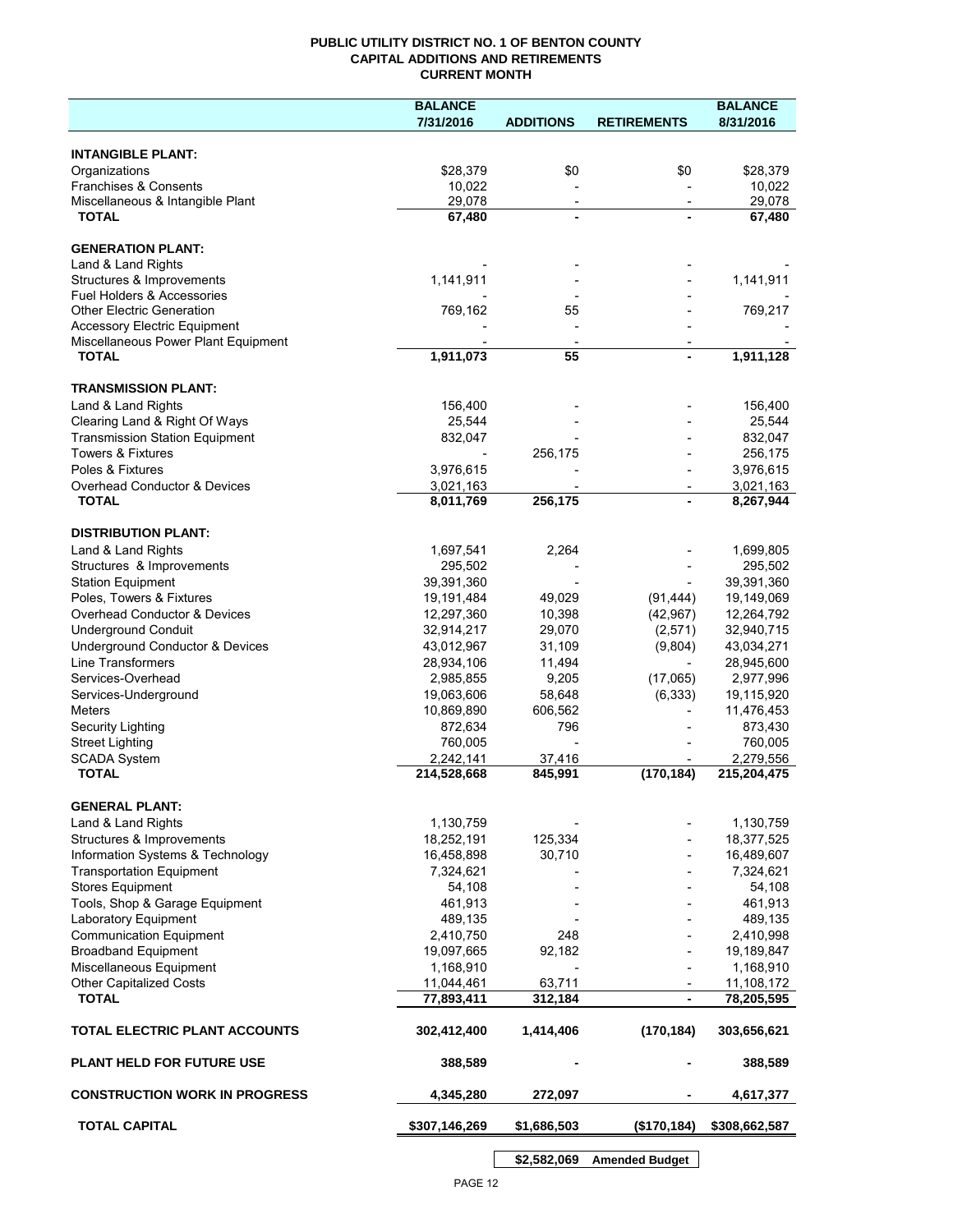## **PUBLIC UTILITY DISTRICT NO. 1 OF BENTON COUNTY CAPITAL ADDITIONS AND RETIREMENTS CURRENT MONTH**

|                                                | <b>BALANCE</b>           |                          |                          | <b>BALANCE</b>           |
|------------------------------------------------|--------------------------|--------------------------|--------------------------|--------------------------|
|                                                | 7/31/2016                | <b>ADDITIONS</b>         | <b>RETIREMENTS</b>       | 8/31/2016                |
| <b>INTANGIBLE PLANT:</b>                       |                          |                          |                          |                          |
| Organizations                                  | \$28,379                 | \$0                      | \$0                      | \$28,379                 |
| Franchises & Consents                          | 10,022                   |                          |                          | 10,022                   |
| Miscellaneous & Intangible Plant               | 29,078                   | $\overline{\phantom{a}}$ | $\overline{\phantom{a}}$ | 29,078                   |
| <b>TOTAL</b>                                   | 67,480                   | $\blacksquare$           |                          | 67,480                   |
|                                                |                          |                          |                          |                          |
| <b>GENERATION PLANT:</b><br>Land & Land Rights |                          |                          |                          |                          |
| Structures & Improvements                      | 1,141,911                |                          |                          | 1,141,911                |
| <b>Fuel Holders &amp; Accessories</b>          |                          |                          |                          |                          |
| <b>Other Electric Generation</b>               | 769,162                  | 55                       |                          | 769,217                  |
| <b>Accessory Electric Equipment</b>            |                          |                          |                          |                          |
| Miscellaneous Power Plant Equipment            |                          |                          |                          |                          |
| <b>TOTAL</b>                                   | 1,911,073                | 55                       |                          | 1,911,128                |
| <b>TRANSMISSION PLANT:</b>                     |                          |                          |                          |                          |
| Land & Land Rights                             | 156,400                  |                          |                          | 156,400                  |
| Clearing Land & Right Of Ways                  | 25,544                   |                          |                          | 25,544                   |
| <b>Transmission Station Equipment</b>          | 832,047                  |                          |                          | 832,047                  |
| <b>Towers &amp; Fixtures</b>                   |                          | 256,175                  |                          | 256,175                  |
| Poles & Fixtures                               | 3,976,615                |                          |                          | 3,976,615                |
| Overhead Conductor & Devices                   | 3,021,163                |                          |                          | 3,021,163                |
| <b>TOTAL</b>                                   | 8,011,769                | 256,175                  |                          | 8,267,944                |
| <b>DISTRIBUTION PLANT:</b>                     |                          |                          |                          |                          |
| Land & Land Rights                             | 1,697,541                | 2,264                    |                          | 1,699,805                |
| Structures & Improvements                      | 295,502                  |                          |                          | 295,502                  |
| <b>Station Equipment</b>                       | 39,391,360               |                          |                          | 39,391,360               |
| Poles, Towers & Fixtures                       | 19,191,484               | 49,029                   | (91, 444)                | 19,149,069               |
| Overhead Conductor & Devices                   | 12,297,360               | 10,398                   | (42, 967)                | 12,264,792               |
| <b>Underground Conduit</b>                     | 32,914,217               | 29,070                   | (2,571)                  | 32,940,715               |
| Underground Conductor & Devices                | 43,012,967               | 31,109                   | (9,804)                  | 43,034,271               |
| <b>Line Transformers</b>                       | 28,934,106               | 11,494                   |                          | 28,945,600               |
| Services-Overhead                              | 2,985,855                | 9,205                    | (17,065)                 | 2,977,996                |
| Services-Underground                           | 19,063,606               | 58,648                   | (6, 333)                 | 19,115,920               |
| Meters                                         | 10,869,890               | 606,562                  |                          | 11,476,453               |
| Security Lighting                              | 872,634                  | 796                      |                          | 873,430                  |
| <b>Street Lighting</b>                         | 760,005                  |                          |                          | 760,005                  |
| <b>SCADA System</b><br><b>TOTAL</b>            | 2,242,141                | 37,416                   |                          | 2,279,556                |
|                                                | 214,528,668              | 845,991                  | (170, 184)               | 215,204,475              |
| <b>GENERAL PLANT:</b>                          |                          |                          |                          |                          |
| Land & Land Rights                             | 1,130,759                |                          |                          | 1,130,759                |
| Structures & Improvements                      | 18,252,191               | 125,334                  |                          | 18,377,525               |
| Information Systems & Technology               | 16,458,898               | 30,710                   |                          | 16,489,607               |
| <b>Transportation Equipment</b>                | 7,324,621                |                          |                          | 7,324,621                |
| <b>Stores Equipment</b>                        | 54,108                   |                          |                          | 54,108                   |
| Tools, Shop & Garage Equipment                 | 461,913                  |                          |                          | 461,913                  |
| Laboratory Equipment                           | 489,135                  |                          |                          | 489,135                  |
| <b>Communication Equipment</b>                 | 2,410,750                | 248                      |                          | 2,410,998                |
| <b>Broadband Equipment</b>                     | 19,097,665               | 92,182                   |                          | 19,189,847               |
| Miscellaneous Equipment                        | 1,168,910                |                          |                          | 1,168,910                |
| <b>Other Capitalized Costs</b><br><b>TOTAL</b> | 11,044,461<br>77,893,411 | 63,711<br>312,184        | $\overline{\phantom{a}}$ | 11,108,172<br>78,205,595 |
|                                                |                          |                          |                          |                          |
| TOTAL ELECTRIC PLANT ACCOUNTS                  | 302,412,400              | 1,414,406                | (170, 184)               | 303,656,621              |
| <b>PLANT HELD FOR FUTURE USE</b>               | 388,589                  |                          |                          | 388,589                  |
| <b>CONSTRUCTION WORK IN PROGRESS</b>           | 4,345,280                | 272,097                  |                          | 4,617,377                |
| <b>TOTAL CAPITAL</b>                           | \$307,146,269            | \$1,686,503              | (\$170, 184)             | \$308,662,587            |

**\$2,582,069 Amended Budget**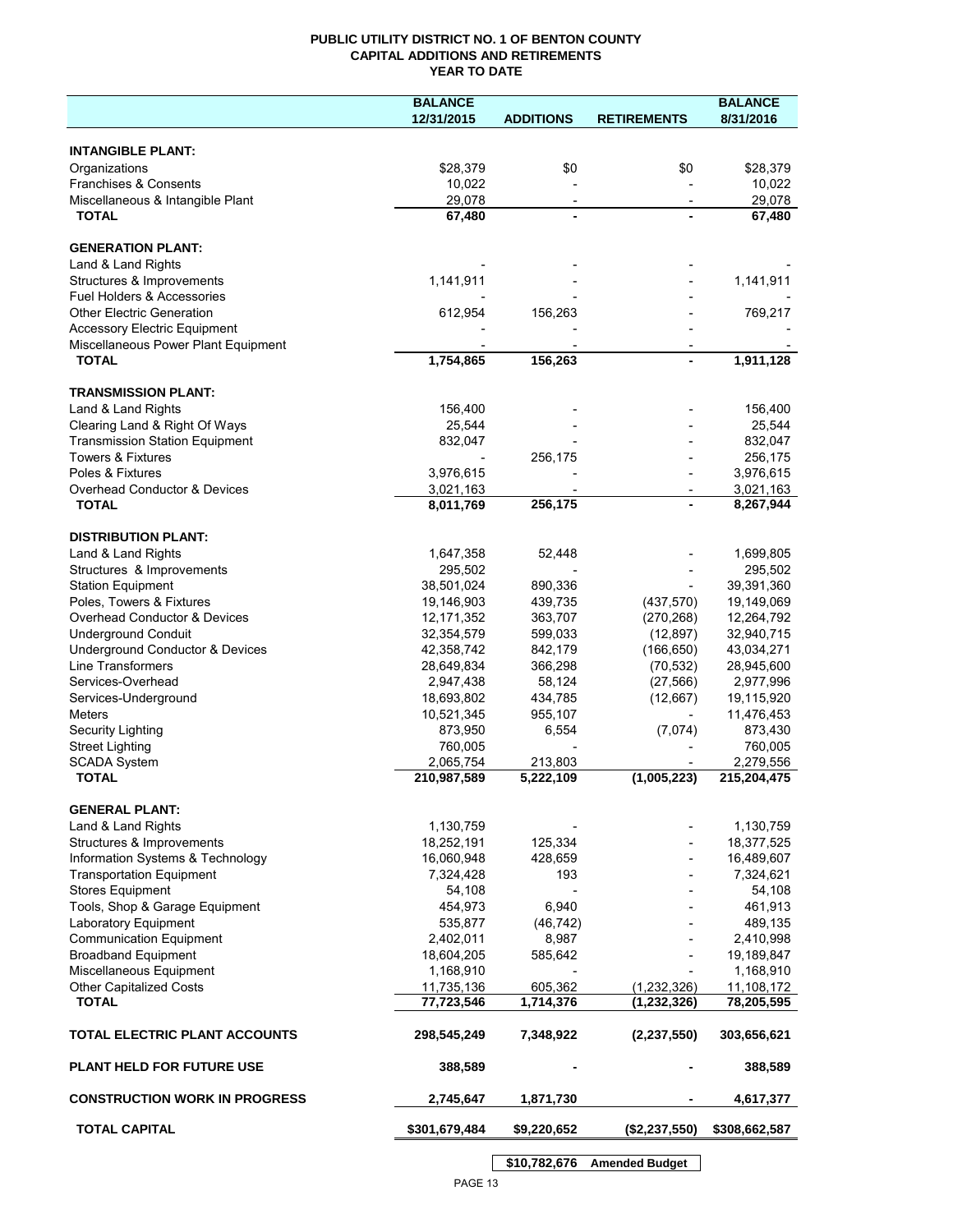## **PUBLIC UTILITY DISTRICT NO. 1 OF BENTON COUNTY CAPITAL ADDITIONS AND RETIREMENTS YEAR TO DATE**

|                                                          | <b>BALANCE</b>             |                          |                          | <b>BALANCE</b>           |
|----------------------------------------------------------|----------------------------|--------------------------|--------------------------|--------------------------|
|                                                          | 12/31/2015                 | <b>ADDITIONS</b>         | <b>RETIREMENTS</b>       | 8/31/2016                |
|                                                          |                            |                          |                          |                          |
| <b>INTANGIBLE PLANT:</b>                                 |                            |                          |                          |                          |
| Organizations                                            | \$28,379                   | \$0                      | \$0                      | \$28,379                 |
| Franchises & Consents                                    | 10,022                     |                          |                          | 10,022                   |
| Miscellaneous & Intangible Plant                         | 29,078                     | $\overline{\phantom{a}}$ |                          | 29,078                   |
| <b>TOTAL</b>                                             | 67,480                     |                          |                          | 67,480                   |
| <b>GENERATION PLANT:</b>                                 |                            |                          |                          |                          |
|                                                          |                            |                          |                          |                          |
| Land & Land Rights<br>Structures & Improvements          | 1,141,911                  |                          |                          | 1,141,911                |
| Fuel Holders & Accessories                               |                            |                          |                          |                          |
| <b>Other Electric Generation</b>                         | 612,954                    | 156,263                  |                          | 769,217                  |
| <b>Accessory Electric Equipment</b>                      |                            |                          |                          |                          |
| Miscellaneous Power Plant Equipment                      |                            |                          |                          |                          |
| <b>TOTAL</b>                                             | 1,754,865                  | 156,263                  |                          | 1,911,128                |
|                                                          |                            |                          |                          |                          |
| <b>TRANSMISSION PLANT:</b>                               |                            |                          |                          |                          |
| Land & Land Rights                                       | 156,400                    |                          |                          | 156,400                  |
| Clearing Land & Right Of Ways                            | 25,544                     |                          |                          | 25,544                   |
| <b>Transmission Station Equipment</b>                    | 832,047                    |                          |                          | 832,047                  |
| <b>Towers &amp; Fixtures</b>                             |                            | 256,175                  |                          | 256,175                  |
| Poles & Fixtures                                         | 3,976,615                  |                          |                          | 3,976,615                |
| Overhead Conductor & Devices                             | 3,021,163                  |                          |                          | 3,021,163                |
| <b>TOTAL</b>                                             | 8,011,769                  | 256,175                  |                          | 8,267,944                |
| <b>DISTRIBUTION PLANT:</b>                               |                            |                          |                          |                          |
|                                                          |                            |                          |                          |                          |
| Land & Land Rights                                       | 1,647,358                  | 52,448                   |                          | 1,699,805                |
| Structures & Improvements                                | 295,502                    |                          |                          | 295,502                  |
| <b>Station Equipment</b>                                 | 38,501,024                 | 890,336                  |                          | 39,391,360               |
| Poles, Towers & Fixtures<br>Overhead Conductor & Devices | 19,146,903<br>12, 171, 352 | 439,735<br>363,707       | (437, 570)<br>(270, 268) | 19,149,069<br>12,264,792 |
| <b>Underground Conduit</b>                               | 32,354,579                 | 599,033                  | (12, 897)                | 32,940,715               |
| Underground Conductor & Devices                          | 42,358,742                 | 842,179                  | (166, 650)               | 43,034,271               |
| Line Transformers                                        | 28,649,834                 | 366,298                  | (70, 532)                | 28,945,600               |
| Services-Overhead                                        | 2,947,438                  | 58,124                   | (27, 566)                | 2,977,996                |
| Services-Underground                                     | 18,693,802                 | 434,785                  | (12,667)                 | 19,115,920               |
| <b>Meters</b>                                            | 10,521,345                 | 955,107                  |                          | 11,476,453               |
| Security Lighting                                        | 873,950                    | 6,554                    | (7,074)                  | 873,430                  |
| <b>Street Lighting</b>                                   | 760,005                    |                          |                          | 760,005                  |
| <b>SCADA System</b>                                      | 2,065,754                  | 213,803                  |                          | 2,279,556                |
| <b>TOTAL</b>                                             | 210,987,589                | 5,222,109                | (1,005,223)              | 215,204,475              |
|                                                          |                            |                          |                          |                          |
| <b>GENERAL PLANT:</b>                                    |                            |                          |                          |                          |
| Land & Land Rights                                       | 1,130,759                  |                          |                          | 1,130,759                |
| Structures & Improvements                                | 18,252,191                 | 125,334                  |                          | 18,377,525               |
| Information Systems & Technology                         | 16,060,948                 | 428,659                  |                          | 16,489,607               |
| <b>Transportation Equipment</b>                          | 7,324,428                  | 193                      |                          | 7,324,621                |
| <b>Stores Equipment</b>                                  | 54,108                     |                          |                          | 54,108                   |
| Tools, Shop & Garage Equipment                           | 454,973                    | 6,940                    |                          | 461,913                  |
| Laboratory Equipment                                     | 535,877                    | (46, 742)                |                          | 489,135                  |
| <b>Communication Equipment</b>                           | 2,402,011                  | 8,987                    |                          | 2,410,998                |
| <b>Broadband Equipment</b>                               | 18,604,205                 | 585,642                  |                          | 19,189,847               |
| Miscellaneous Equipment                                  | 1,168,910                  |                          |                          | 1,168,910                |
| <b>Other Capitalized Costs</b>                           | 11,735,136                 | 605,362                  | (1,232,326)              | 11,108,172               |
| <b>TOTAL</b>                                             | 77,723,546                 | 1,714,376                | (1, 232, 326)            | 78,205,595               |
| TOTAL ELECTRIC PLANT ACCOUNTS                            | 298,545,249                | 7,348,922                | (2, 237, 550)            | 303,656,621              |
| <b>PLANT HELD FOR FUTURE USE</b>                         | 388,589                    |                          |                          | 388,589                  |
| <b>CONSTRUCTION WORK IN PROGRESS</b>                     | 2,745,647                  | 1,871,730                |                          | 4,617,377                |
| <b>TOTAL CAPITAL</b>                                     | \$301,679,484              | \$9,220,652              | (\$2,237,550)            | \$308,662,587            |
|                                                          |                            |                          |                          |                          |

**\$10,782,676 Amended Budget**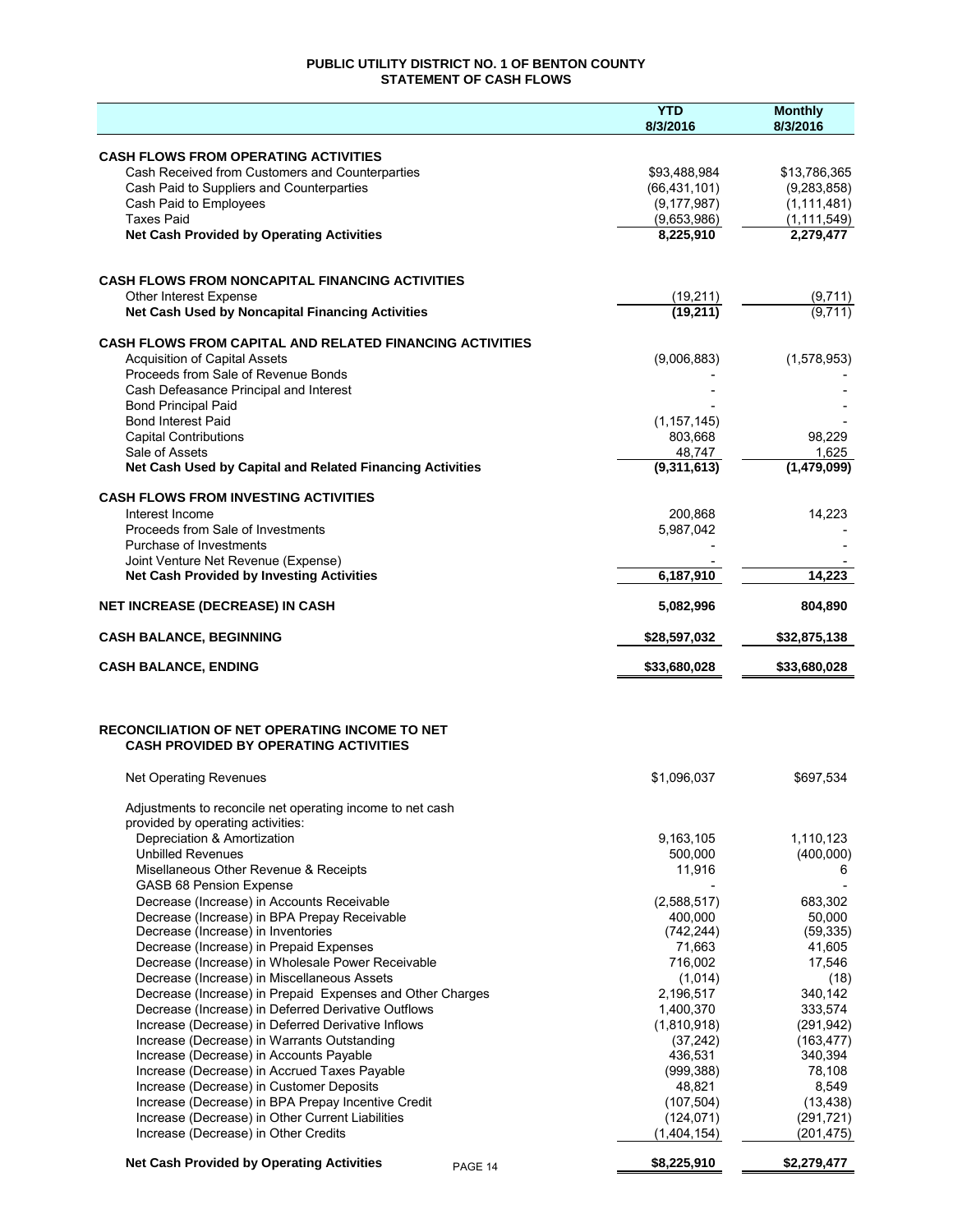## **PUBLIC UTILITY DISTRICT NO. 1 OF BENTON COUNTY STATEMENT OF CASH FLOWS**

|                                                                                                      | <b>YTD</b><br>8/3/2016 | <b>Monthly</b><br>8/3/2016 |
|------------------------------------------------------------------------------------------------------|------------------------|----------------------------|
| <b>CASH FLOWS FROM OPERATING ACTIVITIES</b>                                                          |                        |                            |
| Cash Received from Customers and Counterparties                                                      | \$93,488,984           | \$13,786,365               |
| Cash Paid to Suppliers and Counterparties                                                            | (66, 431, 101)         | (9, 283, 858)              |
| Cash Paid to Employees                                                                               | (9, 177, 987)          | (1, 111, 481)              |
| <b>Taxes Paid</b>                                                                                    | (9,653,986)            | (1, 111, 549)              |
| <b>Net Cash Provided by Operating Activities</b>                                                     | 8,225,910              | 2,279,477                  |
| <b>CASH FLOWS FROM NONCAPITAL FINANCING ACTIVITIES</b>                                               |                        |                            |
| Other Interest Expense                                                                               | (19,211)               | (9,711)                    |
| Net Cash Used by Noncapital Financing Activities                                                     | (19, 211)              | (9,711)                    |
| <b>CASH FLOWS FROM CAPITAL AND RELATED FINANCING ACTIVITIES</b>                                      |                        |                            |
| <b>Acquisition of Capital Assets</b>                                                                 | (9,006,883)            | (1,578,953)                |
| Proceeds from Sale of Revenue Bonds<br>Cash Defeasance Principal and Interest                        |                        |                            |
| <b>Bond Principal Paid</b>                                                                           |                        |                            |
| <b>Bond Interest Paid</b>                                                                            | (1, 157, 145)          |                            |
| <b>Capital Contributions</b>                                                                         | 803,668                | 98,229                     |
| Sale of Assets                                                                                       | 48,747                 | 1,625                      |
| Net Cash Used by Capital and Related Financing Activities                                            | (9,311,613)            | (1,479,099)                |
| <b>CASH FLOWS FROM INVESTING ACTIVITIES</b>                                                          |                        |                            |
| Interest Income<br>Proceeds from Sale of Investments                                                 | 200,868                | 14,223                     |
| Purchase of Investments                                                                              | 5,987,042              |                            |
| Joint Venture Net Revenue (Expense)                                                                  |                        |                            |
| <b>Net Cash Provided by Investing Activities</b>                                                     | 6,187,910              | 14,223                     |
| <b>NET INCREASE (DECREASE) IN CASH</b>                                                               | 5,082,996              | 804,890                    |
| <b>CASH BALANCE, BEGINNING</b>                                                                       | \$28,597,032           | \$32,875,138               |
| <b>CASH BALANCE, ENDING</b>                                                                          | \$33,680,028           | \$33,680,028               |
| <b>RECONCILIATION OF NET OPERATING INCOME TO NET</b><br><b>CASH PROVIDED BY OPERATING ACTIVITIES</b> |                        |                            |
| Net Operating Revenues                                                                               | \$1,096,037            | \$697,534                  |
| Adjustments to reconcile net operating income to net cash                                            |                        |                            |
| provided by operating activities:                                                                    |                        |                            |
| Depreciation & Amortization                                                                          | 9,163,105              | 1,110,123                  |
| <b>Unbilled Revenues</b>                                                                             | 500,000                | (400,000)                  |
| Misellaneous Other Revenue & Receipts<br>GASB 68 Pension Expense                                     | 11,916                 | 6                          |
| Decrease (Increase) in Accounts Receivable                                                           | (2,588,517)            | 683,302                    |
| Decrease (Increase) in BPA Prepay Receivable                                                         | 400,000                | 50,000                     |
| Decrease (Increase) in Inventories                                                                   | (742, 244)             | (59, 335)                  |
| Decrease (Increase) in Prepaid Expenses                                                              | 71,663                 | 41,605                     |
| Decrease (Increase) in Wholesale Power Receivable<br>Decrease (Increase) in Miscellaneous Assets     | 716,002                | 17,546                     |
| Decrease (Increase) in Prepaid Expenses and Other Charges                                            | (1,014)<br>2,196,517   | (18)<br>340,142            |
| Decrease (Increase) in Deferred Derivative Outflows                                                  | 1,400,370              | 333,574                    |
| Increase (Decrease) in Deferred Derivative Inflows                                                   | (1,810,918)            | (291, 942)                 |
| Increase (Decrease) in Warrants Outstanding                                                          | (37, 242)              | (163, 477)                 |
| Increase (Decrease) in Accounts Payable                                                              | 436,531                | 340,394                    |
| Increase (Decrease) in Accrued Taxes Payable                                                         | (999, 388)             | 78,108                     |
| Increase (Decrease) in Customer Deposits<br>Increase (Decrease) in BPA Prepay Incentive Credit       | 48,821<br>(107, 504)   | 8,549<br>(13, 438)         |
| Increase (Decrease) in Other Current Liabilities                                                     | (124, 071)             | (291, 721)                 |
| Increase (Decrease) in Other Credits                                                                 | (1,404,154)            | (201, 475)                 |
| <b>Net Cash Provided by Operating Activities</b><br>PAGE 14                                          | \$8,225,910            | \$2,279,477                |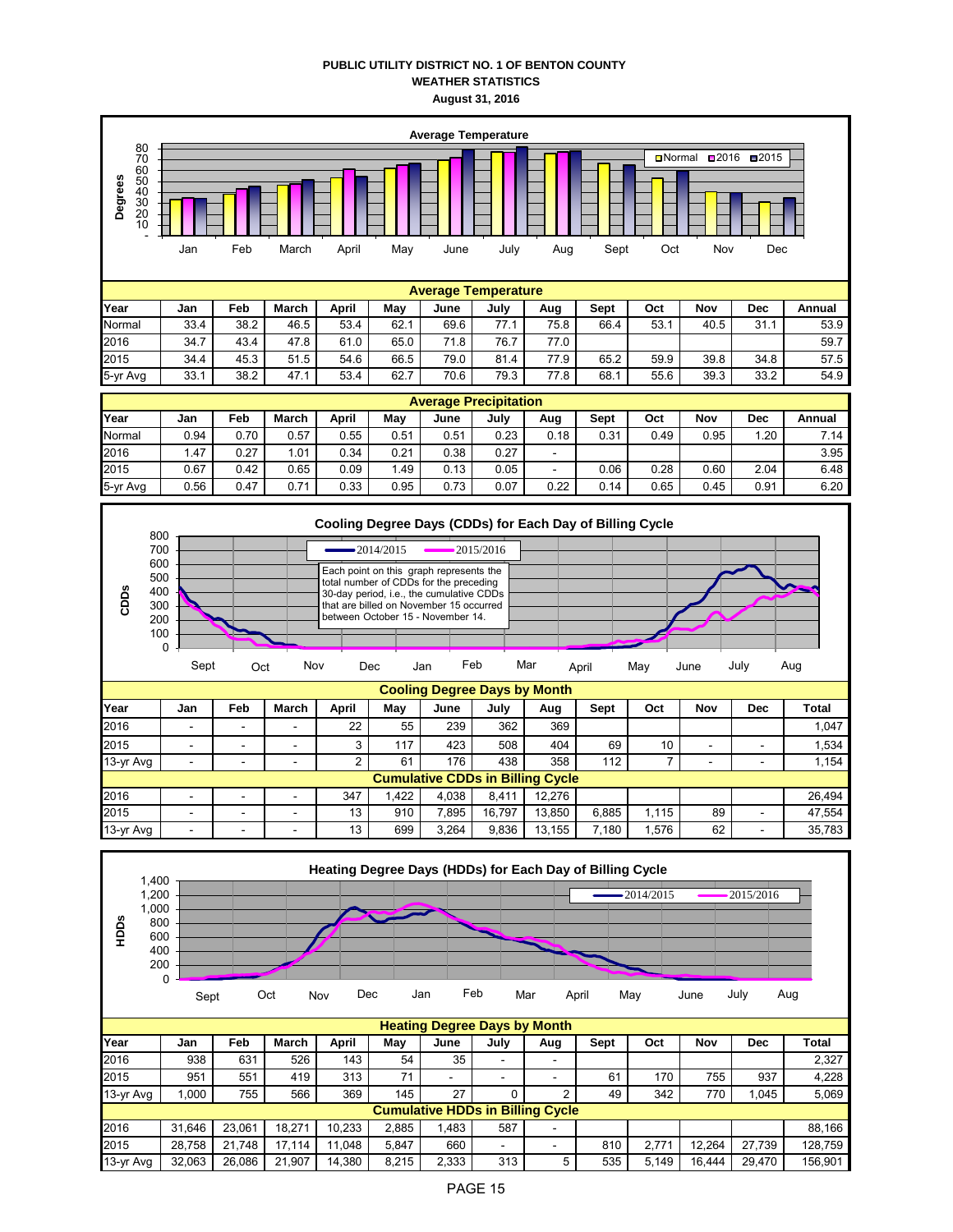## **PUBLIC UTILITY DISTRICT NO. 1 OF BENTON COUNTY WEATHER STATISTICS August 31, 2016**



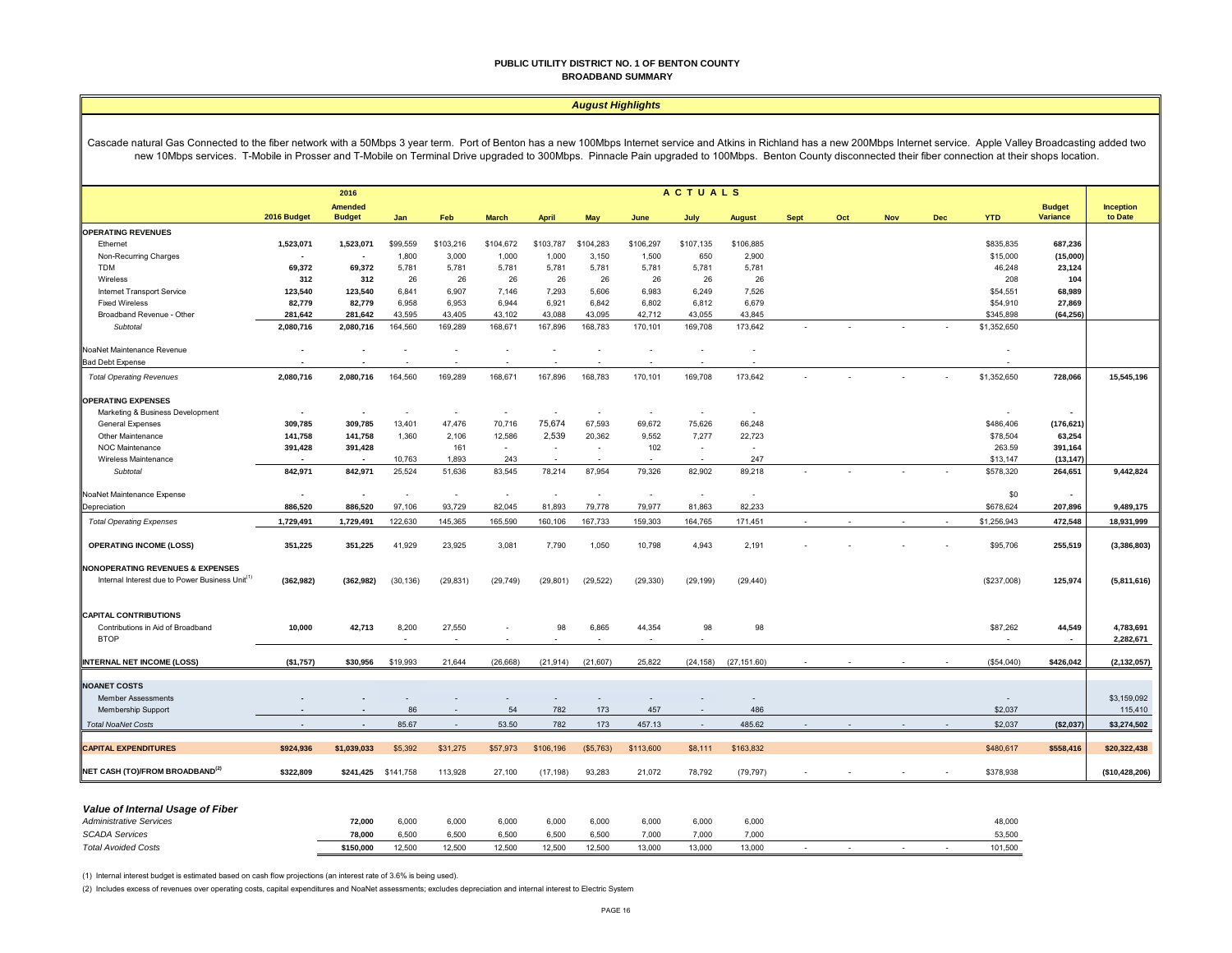#### **PUBLIC UTILITY DISTRICT NO. 1 OF BENTON COUNTY BROADBAND SUMMARY**

#### *August Highlights*

Cascade natural Gas Connected to the fiber network with a 50Mbps 3 year term. Port of Benton has a new 100Mbps Internet service and Atkins in Richland has a new 200Mbps Internet service. Apple Valley Broadcasting added two new 10Mbps services. T-Mobile in Prosser and T-Mobile on Terminal Drive upgraded to 300Mbps. Pinnacle Pain upgraded to 100Mbps. Benton County disconnected their fiber connection at their shops location.

|                                                             | <b>ACTUALS</b><br>2016   |                                 |           |           |                          |                          |           |           |           |               |             |     |            |            |             |                                  |                             |
|-------------------------------------------------------------|--------------------------|---------------------------------|-----------|-----------|--------------------------|--------------------------|-----------|-----------|-----------|---------------|-------------|-----|------------|------------|-------------|----------------------------------|-----------------------------|
|                                                             | 2016 Budget              | <b>Amended</b><br><b>Budget</b> | Jan       | Feb       | <b>March</b>             | <b>April</b>             | May       | June      | July      | <b>August</b> | <b>Sept</b> | Oct | <b>Nov</b> | <b>Dec</b> | <b>YTD</b>  | <b>Budget</b><br><b>Variance</b> | <b>Inception</b><br>to Date |
| <b>OPERATING REVENUES</b>                                   |                          |                                 |           |           |                          |                          |           |           |           |               |             |     |            |            |             |                                  |                             |
| Ethernet                                                    | 1,523,071                | 1,523,071                       | \$99,559  | \$103,216 | \$104,672                | \$103,787                | \$104,283 | \$106,297 | \$107,135 | \$106,885     |             |     |            |            | \$835,835   | 687,236                          |                             |
| Non-Recurring Charges                                       | $\overline{\phantom{a}}$ |                                 | 1,800     | 3,000     | 1,000                    | 1,000                    | 3,150     | 1,500     | 650       | 2,900         |             |     |            |            | \$15,000    | (15,000)                         |                             |
| <b>TDM</b>                                                  | 69,372                   | 69,372                          | 5,781     | 5,781     | 5,781                    | 5,781                    | 5,781     | 5,781     | 5,781     | 5,781         |             |     |            |            | 46,248      | 23,124                           |                             |
| Wireless                                                    | 312                      | 312                             | 26        | 26        | 26                       | 26                       | 26        | 26        | 26        | 26            |             |     |            |            | 208         | 104                              |                             |
| Internet Transport Service                                  | 123,540                  | 123,540                         | 6,841     | 6,907     | 7,146                    | 7,293                    | 5,606     | 6,983     | 6,249     | 7,526         |             |     |            |            | \$54,551    | 68,989                           |                             |
| <b>Fixed Wireless</b>                                       | 82,779                   | 82,779                          | 6,958     | 6,953     | 6,944                    | 6,921                    | 6,842     | 6,802     | 6,812     | 6,679         |             |     |            |            | \$54,910    | 27,869                           |                             |
| Broadband Revenue - Other                                   | 281,642                  | 281,642                         | 43,595    | 43,405    | 43,102                   | 43,088                   | 43,095    | 42,712    | 43,055    | 43,845        |             |     |            |            | \$345,898   | (64, 256)                        |                             |
| Subtotal                                                    | 2,080,716                | 2,080,716                       | 164,560   | 169,289   | 168,671                  | 167,896                  | 168,783   | 170,101   | 169,708   | 173,642       |             |     |            |            | \$1,352,650 |                                  |                             |
| NoaNet Maintenance Revenue                                  |                          |                                 |           |           |                          |                          |           |           |           |               |             |     |            |            |             |                                  |                             |
| <b>Bad Debt Expense</b>                                     |                          |                                 |           |           |                          |                          |           |           |           |               |             |     |            |            |             |                                  |                             |
| <b>Total Operating Revenues</b>                             | 2,080,716                | 2,080,716                       | 164,560   | 169,289   | 168,671                  | 167,896                  | 168,783   | 170,101   | 169,708   | 173,642       |             |     |            |            | \$1,352,650 | 728,066                          | 15,545,196                  |
| <b>OPERATING EXPENSES</b>                                   |                          |                                 |           |           |                          |                          |           |           |           |               |             |     |            |            |             |                                  |                             |
| Marketing & Business Development                            | $\overline{\phantom{a}}$ |                                 |           | $\sim$    | $\overline{\phantom{a}}$ |                          | $\sim$    |           |           |               |             |     |            |            |             |                                  |                             |
| General Expenses                                            | 309,785                  | 309,785                         | 13,401    | 47,476    | 70,716                   | 75,674                   | 67,593    | 69,672    | 75,626    | 66,248        |             |     |            |            | \$486,406   | (176,621                         |                             |
| Other Maintenance                                           | 141,758                  | 141,758                         | 1,360     | 2,106     | 12,586                   | 2,539                    | 20,362    | 9,552     | 7,277     | 22,723        |             |     |            |            | \$78,504    | 63,254                           |                             |
| NOC Maintenance                                             | 391,428                  | 391,428                         |           | 161       | $\sim$                   | $\sim$                   | $\sim$    | 102       | $\sim$    |               |             |     |            |            | 263.59      | 391,164                          |                             |
| Wireless Maintenance                                        | $\overline{\phantom{a}}$ | ۰.                              | 10,763    | 1,893     | 243                      | i.                       | $\sim$    | $\sim$    | $\sim$    | 247           |             |     |            |            | \$13,147    | (13, 147)                        |                             |
| Subtotal                                                    | 842,971                  | 842,971                         | 25,524    | 51,636    | 83,545                   | 78,214                   | 87,954    | 79,326    | 82,902    | 89,218        |             |     |            |            | \$578,320   | 264,651                          | 9,442,824                   |
| NoaNet Maintenance Expense                                  | $\overline{\phantom{a}}$ | $\blacksquare$                  | $\sim$    | $\sim$    | $\sim$                   | $\overline{\phantom{a}}$ | $\sim$    | $\sim$    | $\sim$    | $\sim$        |             |     |            |            | \$0         |                                  |                             |
| Depreciation                                                | 886,520                  | 886,520                         | 97,106    | 93,729    | 82,045                   | 81,893                   | 79,778    | 79,977    | 81,863    | 82,233        |             |     |            |            | \$678,624   | 207,896                          | 9,489,175                   |
|                                                             |                          |                                 |           |           |                          |                          |           |           |           |               |             |     |            |            |             |                                  |                             |
| <b>Total Operating Expenses</b>                             | 1,729,491                | 1,729,491                       | 122,630   | 145,365   | 165,590                  | 160,106                  | 167,733   | 159,303   | 164,765   | 171,451       |             |     |            |            | \$1,256,943 | 472,548                          | 18,931,999                  |
| <b>OPERATING INCOME (LOSS)</b>                              | 351,225                  | 351,225                         | 41,929    | 23,925    | 3,081                    | 7,790                    | 1,050     | 10,798    | 4,943     | 2,191         |             |     |            |            | \$95,706    | 255,519                          | (3,386,803)                 |
| <b>NONOPERATING REVENUES &amp; EXPENSES</b>                 |                          |                                 |           |           |                          |                          |           |           |           |               |             |     |            |            |             |                                  |                             |
| Internal Interest due to Power Business Unit <sup>(1)</sup> | (362, 982)               | (362, 982)                      | (30, 136) | (29, 831) | (29, 749)                | (29, 801)                | (29, 522) | (29, 330) | (29, 199) | (29, 440)     |             |     |            |            | (\$237,008) | 125,974                          | (5,811,616)                 |
|                                                             |                          |                                 |           |           |                          |                          |           |           |           |               |             |     |            |            |             |                                  |                             |
| <b>CAPITAL CONTRIBUTIONS</b>                                |                          |                                 |           |           |                          |                          |           |           |           |               |             |     |            |            |             |                                  |                             |
| Contributions in Aid of Broadband                           | 10,000                   | 42,713                          | 8,200     | 27,550    |                          | 98                       | 6,865     | 44,354    | 98        | 98            |             |     |            |            | \$87,262    | 44,549                           | 4,783,691                   |
| <b>BTOP</b>                                                 |                          |                                 |           |           |                          |                          |           |           |           |               |             |     |            |            |             | $\overline{\phantom{a}}$         | 2,282,671                   |
| <b>INTERNAL NET INCOME (LOSS)</b>                           | (\$1,757)                | \$30,956                        | \$19,993  | 21,644    | (26, 668)                | (21, 914)                | (21, 607) | 25,822    | (24, 158) | (27, 151.60)  |             |     |            |            | (\$54,040)  | \$426,042                        | (2, 132, 057)               |
| <b>NOANET COSTS</b>                                         |                          |                                 |           |           |                          |                          |           |           |           |               |             |     |            |            |             |                                  |                             |
| <b>Member Assessments</b>                                   |                          |                                 |           |           |                          |                          |           |           |           |               |             |     |            |            |             |                                  | \$3,159,092                 |
| Membership Support                                          |                          | $\overline{\phantom{a}}$        | 86        | $\sim$    | 54                       | 782                      | 173       | 457       | $\sim$    | 486           |             |     |            |            | \$2,037     |                                  | 115,410                     |
| <b>Total NoaNet Costs</b>                                   |                          |                                 | 85.67     | $\sim$    | 53.50                    | 782                      | 173       | 457.13    | $\sim$    | 485.62        |             |     |            |            | \$2,037     | (\$2,037)                        | \$3,274,502                 |
|                                                             |                          |                                 |           |           |                          |                          |           |           |           |               |             |     |            |            |             |                                  |                             |
| <b>CAPITAL EXPENDITURES</b>                                 | \$924,936                | \$1,039,033                     | \$5,392   | \$31,275  | \$57,973                 | \$106,196                | (S5, 763) | \$113,600 | \$8,111   | \$163,832     |             |     |            |            | \$480,617   | \$558,416                        | \$20,322,438                |
| NET CASH (TO)/FROM BROADBAND <sup>(2)</sup>                 | \$322,809                | \$241,425                       | \$141,758 | 113,928   | 27,100                   | (17, 198)                | 93,283    | 21,072    | 78,792    | (79, 797)     |             |     |            |            | \$378,938   |                                  | (\$10,428,206)              |

| ______<br>Administrative Services | 72.000    | 6,000  | 6,000  | 6,000  | 6,000  | 6.000  | 6.000  | 6.000  | 6,000  |  |  | 48,000  |
|-----------------------------------|-----------|--------|--------|--------|--------|--------|--------|--------|--------|--|--|---------|
| <b>SCADA Services</b>             | 78.000    | 6.500  | 6.500  | 6,500  | 6.500  | 6.500  | 7.000  | 7,000  | 7.000  |  |  | 53,500  |
| <b>Total Avoided Costs</b>        | \$150,000 | 12.500 | 12.500 | 12.500 | 12.500 | 12.500 | 13,000 | 13,000 | 13,000 |  |  | 101,500 |

(1) Internal interest budget is estimated based on cash flow projections (an interest rate of 3.6% is being used).

(2) Includes excess of revenues over operating costs, capital expenditures and NoaNet assessments; excludes depreciation and internal interest to Electric System